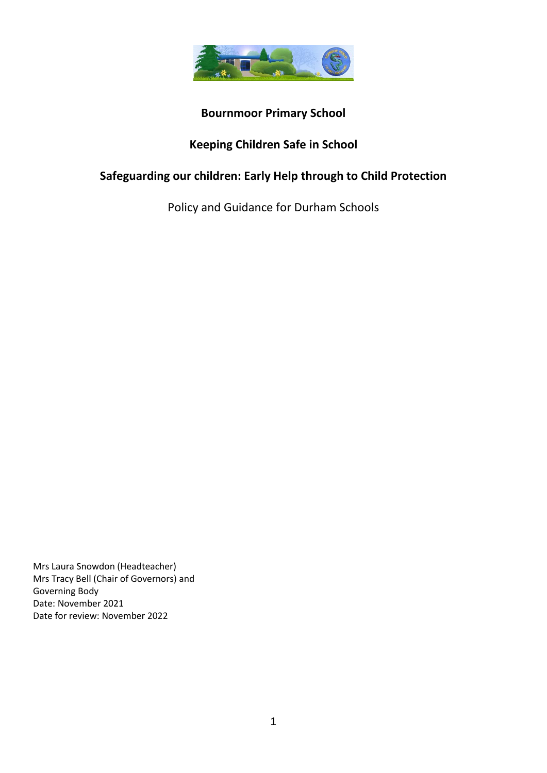

# **Bournmoor Primary School**

# **Keeping Children Safe in School**

# **Safeguarding our children: Early Help through to Child Protection**

Policy and Guidance for Durham Schools

Mrs Laura Snowdon (Headteacher) Mrs Tracy Bell (Chair of Governors) and Governing Body Date: November 2021 Date for review: November 2022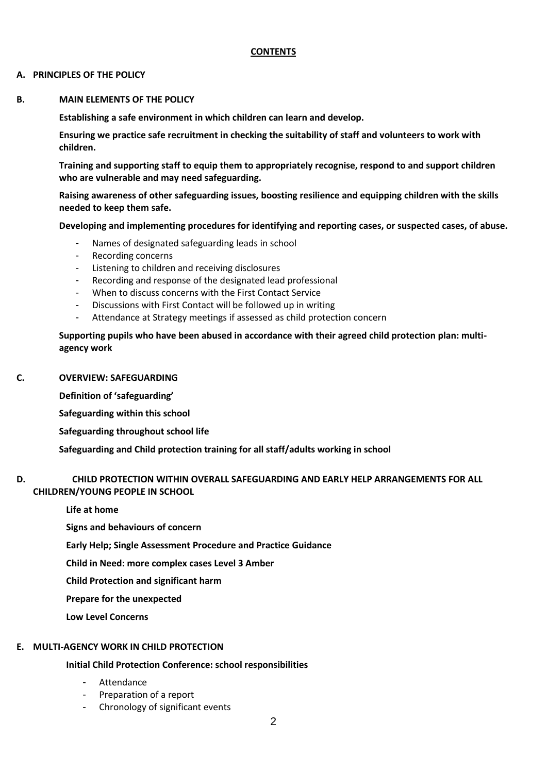#### **CONTENTS**

#### **A. PRINCIPLES OF THE POLICY**

#### **B. MAIN ELEMENTS OF THE POLICY**

**Establishing a safe environment in which children can learn and develop.**

**Ensuring we practice safe recruitment in checking the suitability of staff and volunteers to work with children.**

**Training and supporting staff to equip them to appropriately recognise, respond to and support children who are vulnerable and may need safeguarding.**

**Raising awareness of other safeguarding issues, boosting resilience and equipping children with the skills needed to keep them safe.**

**Developing and implementing procedures for identifying and reporting cases, or suspected cases, of abuse.**

- Names of designated safeguarding leads in school
- Recording concerns
- Listening to children and receiving disclosures
- Recording and response of the designated lead professional
- When to discuss concerns with the First Contact Service
- Discussions with First Contact will be followed up in writing
- Attendance at Strategy meetings if assessed as child protection concern

**Supporting pupils who have been abused in accordance with their agreed child protection plan: multiagency work**

#### **C. OVERVIEW: SAFEGUARDING**

**Definition of 'safeguarding'**

**Safeguarding within this school**

**Safeguarding throughout school life**

**Safeguarding and Child protection training for all staff/adults working in school**

## **D. CHILD PROTECTION WITHIN OVERALL SAFEGUARDING AND EARLY HELP ARRANGEMENTS FOR ALL CHILDREN/YOUNG PEOPLE IN SCHOOL**

**Life at home**

**Signs and behaviours of concern**

**Early Help; Single Assessment Procedure and Practice Guidance**

**Child in Need: more complex cases Level 3 Amber**

**Child Protection and significant harm**

**Prepare for the unexpected**

**Low Level Concerns**

# **E. MULTI-AGENCY WORK IN CHILD PROTECTION**

# **Initial Child Protection Conference: school responsibilities**

- **Attendance**
- Preparation of a report
- Chronology of significant events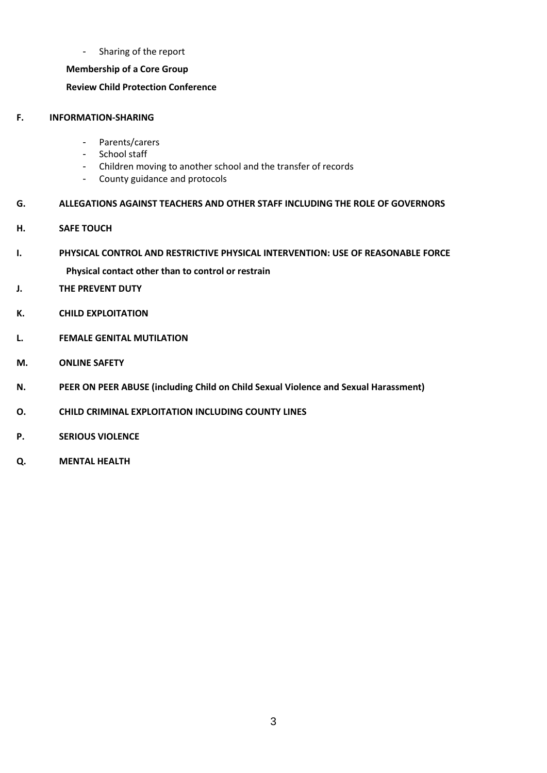- Sharing of the report

## **Membership of a Core Group**

# **Review Child Protection Conference**

## **F. INFORMATION-SHARING**

- Parents/carers
- School staff
- Children moving to another school and the transfer of records
- County guidance and protocols

## **G. ALLEGATIONS AGAINST TEACHERS AND OTHER STAFF INCLUDING THE ROLE OF GOVERNORS**

- **H. SAFE TOUCH**
- **I. PHYSICAL CONTROL AND RESTRICTIVE PHYSICAL INTERVENTION: USE OF REASONABLE FORCE Physical contact other than to control or restrain**
- **J. THE PREVENT DUTY**
- **K. CHILD EXPLOITATION**
- **L. FEMALE GENITAL MUTILATION**
- **M. ONLINE SAFETY**
- **N. PEER ON PEER ABUSE (including Child on Child Sexual Violence and Sexual Harassment)**
- **O. CHILD CRIMINAL EXPLOITATION INCLUDING COUNTY LINES**
- **P. SERIOUS VIOLENCE**
- **Q. MENTAL HEALTH**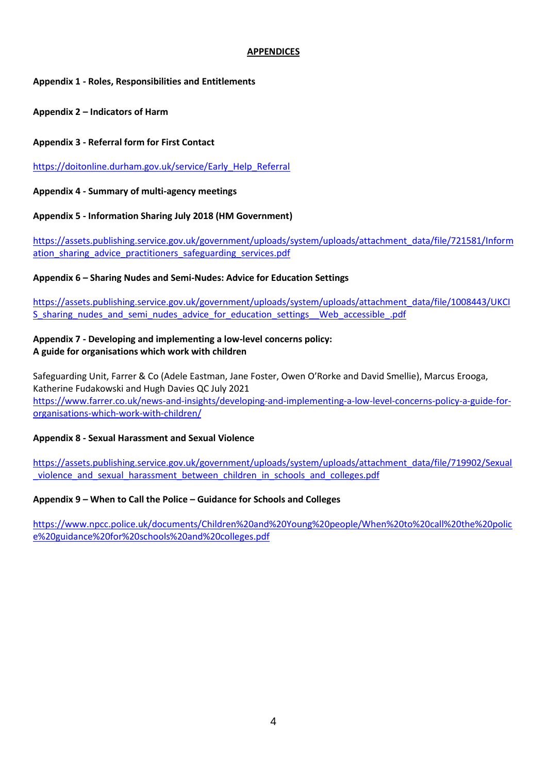## **APPENDICES**

## **Appendix 1 - Roles, Responsibilities and Entitlements**

**Appendix 2 – Indicators of Harm**

**Appendix 3 - Referral form for First Contact**

[https://doitonline.durham.gov.uk/service/Early\\_Help\\_Referral](https://doitonline.durham.gov.uk/service/Early_Help_Referral)

**Appendix 4 - Summary of multi-agency meetings**

**Appendix 5 - Information Sharing July 2018 (HM Government)**

[https://assets.publishing.service.gov.uk/government/uploads/system/uploads/attachment\\_data/file/721581/Inform](https://assets.publishing.service.gov.uk/government/uploads/system/uploads/attachment_data/file/721581/Information_sharing_advice_practitioners_safeguarding_services.pdf) ation sharing advice practitioners safeguarding services.pdf

**Appendix 6 – Sharing Nudes and Semi-Nudes: Advice for Education Settings**

[https://assets.publishing.service.gov.uk/government/uploads/system/uploads/attachment\\_data/file/1008443/UKCI](https://assets.publishing.service.gov.uk/government/uploads/system/uploads/attachment_data/file/1008443/UKCIS_sharing_nudes_and_semi_nudes_advice_for_education_settings__Web_accessible_.pdf) S sharing nudes and semi\_nudes\_advice\_for\_education\_settings\_\_Web\_accessible\_.pdf

# **Appendix 7 - Developing and implementing a low-level concerns policy: A guide for organisations which work with children**

Safeguarding Unit, Farrer & Co (Adele Eastman, Jane Foster, Owen O'Rorke and David Smellie), Marcus Erooga, Katherine Fudakowski and Hugh Davies QC July 2021 [https://www.farrer.co.uk/news-and-insights/developing-and-implementing-a-low-level-concerns-policy-a-guide-for](https://www.farrer.co.uk/news-and-insights/developing-and-implementing-a-low-level-concerns-policy-a-guide-for-organisations-which-work-with-children/)[organisations-which-work-with-children/](https://www.farrer.co.uk/news-and-insights/developing-and-implementing-a-low-level-concerns-policy-a-guide-for-organisations-which-work-with-children/)

# **Appendix 8 - Sexual Harassment and Sexual Violence**

[https://assets.publishing.service.gov.uk/government/uploads/system/uploads/attachment\\_data/file/719902/Sexual](https://assets.publishing.service.gov.uk/government/uploads/system/uploads/attachment_data/file/719902/Sexual_violence_and_sexual_harassment_between_children_in_schools_and_colleges.pdf) [\\_violence\\_and\\_sexual\\_harassment\\_between\\_children\\_in\\_schools\\_and\\_colleges.pdf](https://assets.publishing.service.gov.uk/government/uploads/system/uploads/attachment_data/file/719902/Sexual_violence_and_sexual_harassment_between_children_in_schools_and_colleges.pdf)

# **Appendix 9 – When to Call the Police – Guidance for Schools and Colleges**

[https://www.npcc.police.uk/documents/Children%20and%20Young%20people/When%20to%20call%20the%20polic](https://www.npcc.police.uk/documents/Children%20and%20Young%20people/When%20to%20call%20the%20police%20guidance%20for%20schools%20and%20colleges.pdf) [e%20guidance%20for%20schools%20and%20colleges.pdf](https://www.npcc.police.uk/documents/Children%20and%20Young%20people/When%20to%20call%20the%20police%20guidance%20for%20schools%20and%20colleges.pdf)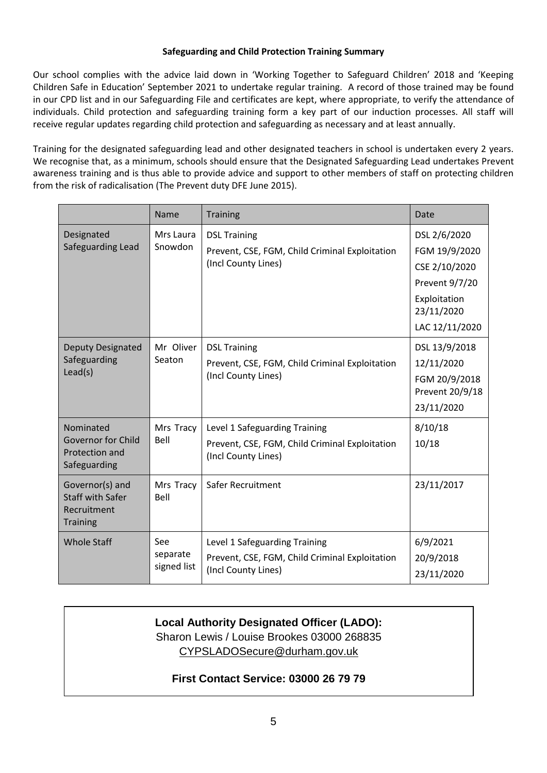## **Safeguarding and Child Protection Training Summary**

Our school complies with the advice laid down in 'Working Together to Safeguard Children' 2018 and 'Keeping Children Safe in Education' September 2021 to undertake regular training. A record of those trained may be found in our CPD list and in our Safeguarding File and certificates are kept, where appropriate, to verify the attendance of individuals. Child protection and safeguarding training form a key part of our induction processes. All staff will receive regular updates regarding child protection and safeguarding as necessary and at least annually.

Training for the designated safeguarding lead and other designated teachers in school is undertaken every 2 years. We recognise that, as a minimum, schools should ensure that the Designated Safeguarding Lead undertakes Prevent awareness training and is thus able to provide advice and support to other members of staff on protecting children from the risk of radicalisation (The Prevent duty DFE June 2015).

|                                                                              | Name                           | <b>Training</b>                                                                                        | Date                                                                                                             |
|------------------------------------------------------------------------------|--------------------------------|--------------------------------------------------------------------------------------------------------|------------------------------------------------------------------------------------------------------------------|
| Designated<br>Safeguarding Lead                                              | Mrs Laura<br>Snowdon           | <b>DSL Training</b><br>Prevent, CSE, FGM, Child Criminal Exploitation<br>(Incl County Lines)           | DSL 2/6/2020<br>FGM 19/9/2020<br>CSE 2/10/2020<br>Prevent 9/7/20<br>Exploitation<br>23/11/2020<br>LAC 12/11/2020 |
| <b>Deputy Designated</b><br>Safeguarding<br>Lead(s)                          | Mr Oliver<br>Seaton            | <b>DSL Training</b><br>Prevent, CSE, FGM, Child Criminal Exploitation<br>(Incl County Lines)           | DSL 13/9/2018<br>12/11/2020<br>FGM 20/9/2018<br>Prevent 20/9/18<br>23/11/2020                                    |
| Nominated<br><b>Governor for Child</b><br>Protection and<br>Safeguarding     | Mrs Tracy<br>Bell              | Level 1 Safeguarding Training<br>Prevent, CSE, FGM, Child Criminal Exploitation<br>(Incl County Lines) | 8/10/18<br>10/18                                                                                                 |
| Governor(s) and<br><b>Staff with Safer</b><br>Recruitment<br><b>Training</b> | Mrs Tracy<br>Bell              | Safer Recruitment                                                                                      | 23/11/2017                                                                                                       |
| <b>Whole Staff</b>                                                           | See<br>separate<br>signed list | Level 1 Safeguarding Training<br>Prevent, CSE, FGM, Child Criminal Exploitation<br>(Incl County Lines) | 6/9/2021<br>20/9/2018<br>23/11/2020                                                                              |

# **Local Authority Designated Officer (LADO):**

Sharon Lewis / Louise Brookes 03000 268835 [CYPSLADOSecure@durham.gov.uk](mailto:CYPSLADOSecure@durham.gov.uk)

# **First Contact Service: 03000 26 79 79**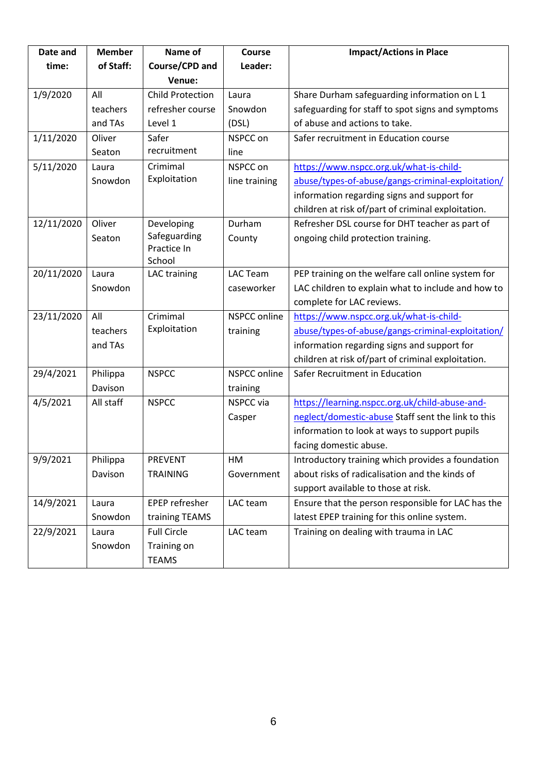| Date and   | <b>Member</b> | Name of                 | <b>Course</b>       | <b>Impact/Actions in Place</b>                     |
|------------|---------------|-------------------------|---------------------|----------------------------------------------------|
| time:      | of Staff:     | Course/CPD and          | Leader:             |                                                    |
|            |               | Venue:                  |                     |                                                    |
| 1/9/2020   | All           | <b>Child Protection</b> | Laura               | Share Durham safeguarding information on L1        |
|            | teachers      | refresher course        | Snowdon             | safeguarding for staff to spot signs and symptoms  |
|            | and TAs       | Level 1                 | (DSL)               | of abuse and actions to take.                      |
| 1/11/2020  | Oliver        | Safer                   | NSPCC on            | Safer recruitment in Education course              |
|            | Seaton        | recruitment             | line                |                                                    |
| 5/11/2020  | Laura         | Crimimal                | NSPCC on            | https://www.nspcc.org.uk/what-is-child-            |
|            | Snowdon       | Exploitation            | line training       | abuse/types-of-abuse/gangs-criminal-exploitation/  |
|            |               |                         |                     | information regarding signs and support for        |
|            |               |                         |                     | children at risk of/part of criminal exploitation. |
| 12/11/2020 | Oliver        | Developing              | Durham              | Refresher DSL course for DHT teacher as part of    |
|            | Seaton        | Safeguarding            | County              | ongoing child protection training.                 |
|            |               | Practice In<br>School   |                     |                                                    |
| 20/11/2020 | Laura         | LAC training            | <b>LAC Team</b>     | PEP training on the welfare call online system for |
|            | Snowdon       |                         | caseworker          | LAC children to explain what to include and how to |
|            |               |                         |                     | complete for LAC reviews.                          |
| 23/11/2020 | All           | Crimimal                | NSPCC online        | https://www.nspcc.org.uk/what-is-child-            |
|            | teachers      | Exploitation            | training            | abuse/types-of-abuse/gangs-criminal-exploitation/  |
|            | and TAs       |                         |                     | information regarding signs and support for        |
|            |               |                         |                     | children at risk of/part of criminal exploitation. |
| 29/4/2021  | Philippa      | <b>NSPCC</b>            | <b>NSPCC online</b> | Safer Recruitment in Education                     |
|            | Davison       |                         | training            |                                                    |
| 4/5/2021   | All staff     | <b>NSPCC</b>            | <b>NSPCC</b> via    | https://learning.nspcc.org.uk/child-abuse-and-     |
|            |               |                         | Casper              | neglect/domestic-abuse Staff sent the link to this |
|            |               |                         |                     | information to look at ways to support pupils      |
|            |               |                         |                     | facing domestic abuse.                             |
| 9/9/2021   | Philippa      | <b>PREVENT</b>          | HM                  | Introductory training which provides a foundation  |
|            | Davison       | <b>TRAINING</b>         | Government          | about risks of radicalisation and the kinds of     |
|            |               |                         |                     | support available to those at risk.                |
| 14/9/2021  | Laura         | EPEP refresher          | LAC team            | Ensure that the person responsible for LAC has the |
|            | Snowdon       | training TEAMS          |                     | latest EPEP training for this online system.       |
| 22/9/2021  | Laura         | <b>Full Circle</b>      | LAC team            | Training on dealing with trauma in LAC             |
|            | Snowdon       | Training on             |                     |                                                    |
|            |               | <b>TEAMS</b>            |                     |                                                    |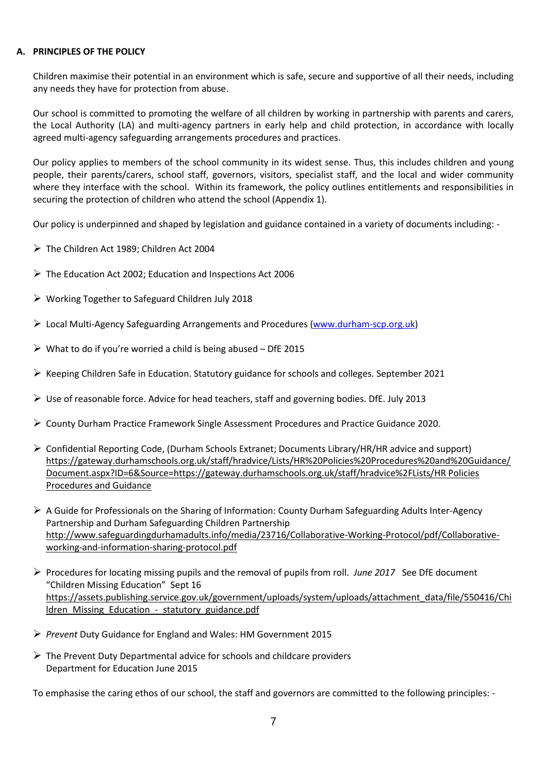### **A. PRINCIPLES OF THE POLICY**

Children maximise their potential in an environment which is safe, secure and supportive of all their needs, including any needs they have for protection from abuse.

Our school is committed to promoting the welfare of all children by working in partnership with parents and carers, the Local Authority (LA) and multi-agency partners in early help and child protection, in accordance with locally agreed multi-agency safeguarding arrangements procedures and practices.

Our policy applies to members of the school community in its widest sense. Thus, this includes children and young people, their parents/carers, school staff, governors, visitors, specialist staff, and the local and wider community where they interface with the school. Within its framework, the policy outlines entitlements and responsibilities in securing the protection of children who attend the school (Appendix 1).

Our policy is underpinned and shaped by legislation and guidance contained in a variety of documents including: -

- ➢ The Children Act 1989; Children Act 2004
- $\triangleright$  The Education Act 2002; Education and Inspections Act 2006
- ➢ Working Together to Safeguard Children July 2018
- $\triangleright$  Local Multi-Agency Safeguarding Arrangements and Procedures [\(www.durham-scp.org.uk\)](http://www.durham-scp.org.uk/)
- $\triangleright$  What to do if you're worried a child is being abused DfE 2015
- ➢ Keeping Children Safe in Education. Statutory guidance for schools and colleges. September 2021
- $\triangleright$  Use of reasonable force. Advice for head teachers, staff and governing bodies. DfE. July 2013
- ➢ County Durham Practice Framework Single Assessment Procedures and Practice Guidance 2020.
- ➢ Confidential Reporting Code, (Durham Schools Extranet; Documents Library/HR/HR advice and support) [https://gateway.durhamschools.org.uk/staff/hradvice/Lists/HR%20Policies%20Procedures%20and%20Guidance/](https://gateway.durhamschools.org.uk/staff/hradvice/Lists/HR%20Policies%20Procedures%20and%20Guidance/Document.aspx?ID=6&Source=https://gateway.durhamschools.org.uk/staff/hradvice%2FLists/HR%20Policies%20Procedures%20and%20Guidance%20) [Document.aspx?ID=6&Source=https://gateway.durhamschools.org.uk/staff/hradvice%2FLists/HR Policies](https://gateway.durhamschools.org.uk/staff/hradvice/Lists/HR%20Policies%20Procedures%20and%20Guidance/Document.aspx?ID=6&Source=https://gateway.durhamschools.org.uk/staff/hradvice%2FLists/HR%20Policies%20Procedures%20and%20Guidance%20)  [Procedures and Guidance](https://gateway.durhamschools.org.uk/staff/hradvice/Lists/HR%20Policies%20Procedures%20and%20Guidance/Document.aspx?ID=6&Source=https://gateway.durhamschools.org.uk/staff/hradvice%2FLists/HR%20Policies%20Procedures%20and%20Guidance%20)
- $\triangleright$  A Guide for Professionals on the Sharing of Information: County Durham Safeguarding Adults Inter-Agency Partnership and Durham Safeguarding Children Partnership [http://www.safeguardingdurhamadults.info/media/23716/Collaborative-Working-Protocol/pdf/Collaborative](http://www.safeguardingdurhamadults.info/media/23716/Collaborative-Working-Protocol/pdf/Collaborative-working-and-information-sharing-protocol.pdf)[working-and-information-sharing-protocol.pdf](http://www.safeguardingdurhamadults.info/media/23716/Collaborative-Working-Protocol/pdf/Collaborative-working-and-information-sharing-protocol.pdf)
- ➢ Procedures for locating missing pupils and the removal of pupils from roll. *June 2017* See DfE document "Children Missing Education" Sept 16 [https://assets.publishing.service.gov.uk/government/uploads/system/uploads/attachment\\_data/file/550416/Chi](https://assets.publishing.service.gov.uk/government/uploads/system/uploads/attachment_data/file/550416/Children_Missing_Education_-_statutory_guidance.pdf) ldren Missing Education - statutory guidance.pdf
- ➢ *Prevent* Duty Guidance for England and Wales: HM Government 2015
- $\triangleright$  The Prevent Duty Departmental advice for schools and childcare providers Department for Education June 2015

To emphasise the caring ethos of our school, the staff and governors are committed to the following principles: -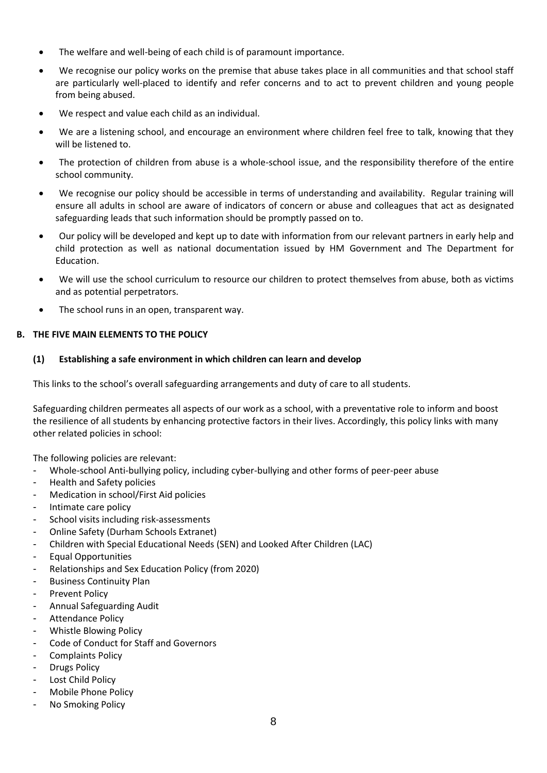- The welfare and well-being of each child is of paramount importance.
- We recognise our policy works on the premise that abuse takes place in all communities and that school staff are particularly well-placed to identify and refer concerns and to act to prevent children and young people from being abused.
- We respect and value each child as an individual.
- We are a listening school, and encourage an environment where children feel free to talk, knowing that they will be listened to.
- The protection of children from abuse is a whole-school issue, and the responsibility therefore of the entire school community.
- We recognise our policy should be accessible in terms of understanding and availability. Regular training will ensure all adults in school are aware of indicators of concern or abuse and colleagues that act as designated safeguarding leads that such information should be promptly passed on to.
- Our policy will be developed and kept up to date with information from our relevant partners in early help and child protection as well as national documentation issued by HM Government and The Department for Education.
- We will use the school curriculum to resource our children to protect themselves from abuse, both as victims and as potential perpetrators.
- The school runs in an open, transparent way.

# **B. THE FIVE MAIN ELEMENTS TO THE POLICY**

# **(1) Establishing a safe environment in which children can learn and develop**

This links to the school's overall safeguarding arrangements and duty of care to all students.

Safeguarding children permeates all aspects of our work as a school, with a preventative role to inform and boost the resilience of all students by enhancing protective factors in their lives. Accordingly, this policy links with many other related policies in school:

The following policies are relevant:

- Whole-school Anti-bullying policy, including cyber-bullying and other forms of peer-peer abuse
- Health and Safety policies
- Medication in school/First Aid policies
- Intimate care policy
- School visits including risk-assessments
- Online Safety (Durham Schools Extranet)
- Children with Special Educational Needs (SEN) and Looked After Children (LAC)
- Equal Opportunities
- Relationships and Sex Education Policy (from 2020)
- Business Continuity Plan
- Prevent Policy
- Annual Safeguarding Audit
- Attendance Policy
- Whistle Blowing Policy
- Code of Conduct for Staff and Governors
- Complaints Policy
- **Drugs Policy**
- Lost Child Policy
- Mobile Phone Policy
- No Smoking Policy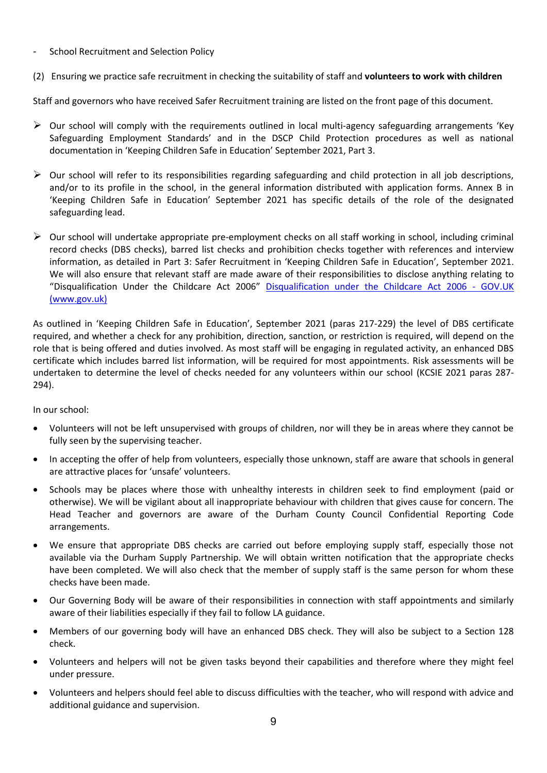- School Recruitment and Selection Policy
- (2) Ensuring we practice safe recruitment in checking the suitability of staff and **volunteers to work with children**

Staff and governors who have received Safer Recruitment training are listed on the front page of this document.

- $\triangleright$  Our school will comply with the requirements outlined in local multi-agency safeguarding arrangements 'Key Safeguarding Employment Standards' and in the DSCP Child Protection procedures as well as national documentation in 'Keeping Children Safe in Education' September 2021, Part 3.
- ➢ Our school will refer to its responsibilities regarding safeguarding and child protection in all job descriptions, and/or to its profile in the school, in the general information distributed with application forms. Annex B in 'Keeping Children Safe in Education' September 2021 has specific details of the role of the designated safeguarding lead.
- $\triangleright$  Our school will undertake appropriate pre-employment checks on all staff working in school, including criminal record checks (DBS checks), barred list checks and prohibition checks together with references and interview information, as detailed in Part 3: Safer Recruitment in 'Keeping Children Safe in Education', September 2021. We will also ensure that relevant staff are made aware of their responsibilities to disclose anything relating to "Disqualification Under the Childcare Act 2006" [Disqualification under the Childcare Act 2006 -](https://www.gov.uk/government/publications/disqualification-under-the-childcare-act-2006/disqualification-under-the-childcare-act-2006) GOV.UK [\(www.gov.uk\)](https://www.gov.uk/government/publications/disqualification-under-the-childcare-act-2006/disqualification-under-the-childcare-act-2006)

As outlined in 'Keeping Children Safe in Education', September 2021 (paras 217-229) the level of DBS certificate required, and whether a check for any prohibition, direction, sanction, or restriction is required, will depend on the role that is being offered and duties involved. As most staff will be engaging in regulated activity, an enhanced DBS certificate which includes barred list information, will be required for most appointments. Risk assessments will be undertaken to determine the level of checks needed for any volunteers within our school (KCSIE 2021 paras 287- 294).

In our school:

- Volunteers will not be left unsupervised with groups of children, nor will they be in areas where they cannot be fully seen by the supervising teacher.
- In accepting the offer of help from volunteers, especially those unknown, staff are aware that schools in general are attractive places for 'unsafe' volunteers.
- Schools may be places where those with unhealthy interests in children seek to find employment (paid or otherwise). We will be vigilant about all inappropriate behaviour with children that gives cause for concern. The Head Teacher and governors are aware of the Durham County Council Confidential Reporting Code arrangements.
- We ensure that appropriate DBS checks are carried out before employing supply staff, especially those not available via the Durham Supply Partnership. We will obtain written notification that the appropriate checks have been completed. We will also check that the member of supply staff is the same person for whom these checks have been made.
- Our Governing Body will be aware of their responsibilities in connection with staff appointments and similarly aware of their liabilities especially if they fail to follow LA guidance.
- Members of our governing body will have an enhanced DBS check. They will also be subject to a Section 128 check.
- Volunteers and helpers will not be given tasks beyond their capabilities and therefore where they might feel under pressure.
- Volunteers and helpers should feel able to discuss difficulties with the teacher, who will respond with advice and additional guidance and supervision.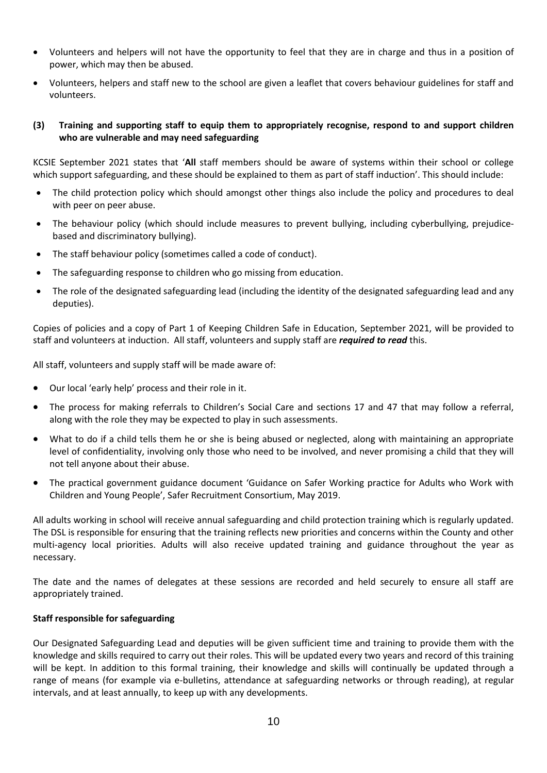- Volunteers and helpers will not have the opportunity to feel that they are in charge and thus in a position of power, which may then be abused.
- Volunteers, helpers and staff new to the school are given a leaflet that covers behaviour guidelines for staff and volunteers.

## **(3) Training and supporting staff to equip them to appropriately recognise, respond to and support children who are vulnerable and may need safeguarding**

KCSIE September 2021 states that '**All** staff members should be aware of systems within their school or college which support safeguarding, and these should be explained to them as part of staff induction'. This should include:

- The child protection policy which should amongst other things also include the policy and procedures to deal with peer on peer abuse.
- The behaviour policy (which should include measures to prevent bullying, including cyberbullying, prejudicebased and discriminatory bullying).
- The staff behaviour policy (sometimes called a code of conduct).
- The safeguarding response to children who go missing from education.
- The role of the designated safeguarding lead (including the identity of the designated safeguarding lead and any deputies).

Copies of policies and a copy of Part 1 of Keeping Children Safe in Education, September 2021, will be provided to staff and volunteers at induction. All staff, volunteers and supply staff are *required to read* this.

All staff, volunteers and supply staff will be made aware of:

- Our local 'early help' process and their role in it.
- The process for making referrals to Children's Social Care and sections 17 and 47 that may follow a referral, along with the role they may be expected to play in such assessments.
- What to do if a child tells them he or she is being abused or neglected, along with maintaining an appropriate level of confidentiality, involving only those who need to be involved, and never promising a child that they will not tell anyone about their abuse.
- The practical government guidance document 'Guidance on Safer Working practice for Adults who Work with Children and Young People', Safer Recruitment Consortium, May 2019.

All adults working in school will receive annual safeguarding and child protection training which is regularly updated. The DSL is responsible for ensuring that the training reflects new priorities and concerns within the County and other multi-agency local priorities. Adults will also receive updated training and guidance throughout the year as necessary.

The date and the names of delegates at these sessions are recorded and held securely to ensure all staff are appropriately trained.

#### **Staff responsible for safeguarding**

Our Designated Safeguarding Lead and deputies will be given sufficient time and training to provide them with the knowledge and skills required to carry out their roles. This will be updated every two years and record of this training will be kept. In addition to this formal training, their knowledge and skills will continually be updated through a range of means (for example via e-bulletins, attendance at safeguarding networks or through reading), at regular intervals, and at least annually, to keep up with any developments.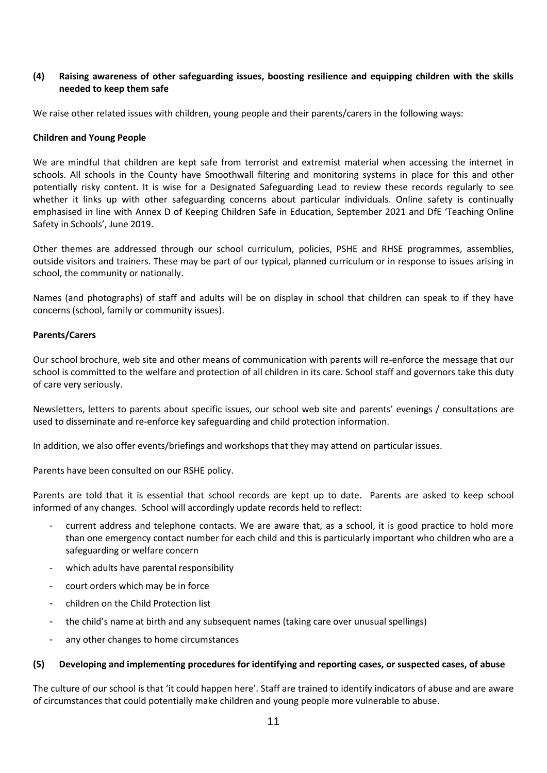## **(4) Raising awareness of other safeguarding issues, boosting resilience and equipping children with the skills needed to keep them safe**

We raise other related issues with children, young people and their parents/carers in the following ways:

#### **Children and Young People**

We are mindful that children are kept safe from terrorist and extremist material when accessing the internet in schools. All schools in the County have Smoothwall filtering and monitoring systems in place for this and other potentially risky content. It is wise for a Designated Safeguarding Lead to review these records regularly to see whether it links up with other safeguarding concerns about particular individuals. Online safety is continually emphasised in line with Annex D of Keeping Children Safe in Education, September 2021 and DfE 'Teaching Online Safety in Schools', June 2019.

Other themes are addressed through our school curriculum, policies, PSHE and RHSE programmes, assemblies, outside visitors and trainers. These may be part of our typical, planned curriculum or in response to issues arising in school, the community or nationally.

Names (and photographs) of staff and adults will be on display in school that children can speak to if they have concerns (school, family or community issues).

## **Parents/Carers**

Our school brochure, web site and other means of communication with parents will re-enforce the message that our school is committed to the welfare and protection of all children in its care. School staff and governors take this duty of care very seriously.

Newsletters, letters to parents about specific issues, our school web site and parents' evenings / consultations are used to disseminate and re-enforce key safeguarding and child protection information.

In addition, we also offer events/briefings and workshops that they may attend on particular issues.

Parents have been consulted on our RSHE policy.

Parents are told that it is essential that school records are kept up to date. Parents are asked to keep school informed of any changes. School will accordingly update records held to reflect:

- current address and telephone contacts. We are aware that, as a school, it is good practice to hold more than one emergency contact number for each child and this is particularly important who children who are a safeguarding or welfare concern
- which adults have parental responsibility
- court orders which may be in force
- children on the Child Protection list
- the child's name at birth and any subsequent names (taking care over unusual spellings)
- any other changes to home circumstances

#### **(5) Developing and implementing procedures for identifying and reporting cases, or suspected cases, of abuse**

The culture of our school is that 'it could happen here'. Staff are trained to identify indicators of abuse and are aware of circumstances that could potentially make children and young people more vulnerable to abuse.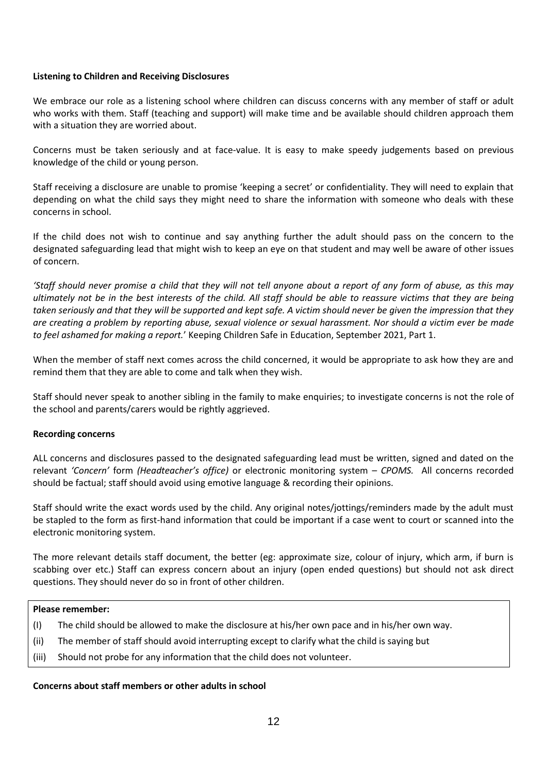## **Listening to Children and Receiving Disclosures**

We embrace our role as a listening school where children can discuss concerns with any member of staff or adult who works with them. Staff (teaching and support) will make time and be available should children approach them with a situation they are worried about.

Concerns must be taken seriously and at face-value. It is easy to make speedy judgements based on previous knowledge of the child or young person.

Staff receiving a disclosure are unable to promise 'keeping a secret' or confidentiality. They will need to explain that depending on what the child says they might need to share the information with someone who deals with these concerns in school.

If the child does not wish to continue and say anything further the adult should pass on the concern to the designated safeguarding lead that might wish to keep an eye on that student and may well be aware of other issues of concern.

*'Staff should never promise a child that they will not tell anyone about a report of any form of abuse, as this may ultimately not be in the best interests of the child. All staff should be able to reassure victims that they are being taken seriously and that they will be supported and kept safe. A victim should never be given the impression that they are creating a problem by reporting abuse, sexual violence or sexual harassment. Nor should a victim ever be made to feel ashamed for making a report.*' Keeping Children Safe in Education, September 2021, Part 1.

When the member of staff next comes across the child concerned, it would be appropriate to ask how they are and remind them that they are able to come and talk when they wish.

Staff should never speak to another sibling in the family to make enquiries; to investigate concerns is not the role of the school and parents/carers would be rightly aggrieved.

#### **Recording concerns**

ALL concerns and disclosures passed to the designated safeguarding lead must be written, signed and dated on the relevant *'Concern'* form *(Headteacher's office)* or electronic monitoring system – *CPOMS.* All concerns recorded should be factual; staff should avoid using emotive language & recording their opinions.

Staff should write the exact words used by the child. Any original notes/jottings/reminders made by the adult must be stapled to the form as first-hand information that could be important if a case went to court or scanned into the electronic monitoring system.

The more relevant details staff document, the better (eg: approximate size, colour of injury, which arm, if burn is scabbing over etc.) Staff can express concern about an injury (open ended questions) but should not ask direct questions. They should never do so in front of other children.

### **Please remember:**

- (I) The child should be allowed to make the disclosure at his/her own pace and in his/her own way.
- (ii) The member of staff should avoid interrupting except to clarify what the child is saying but
- (iii) Should not probe for any information that the child does not volunteer.

#### **Concerns about staff members or other adults in school**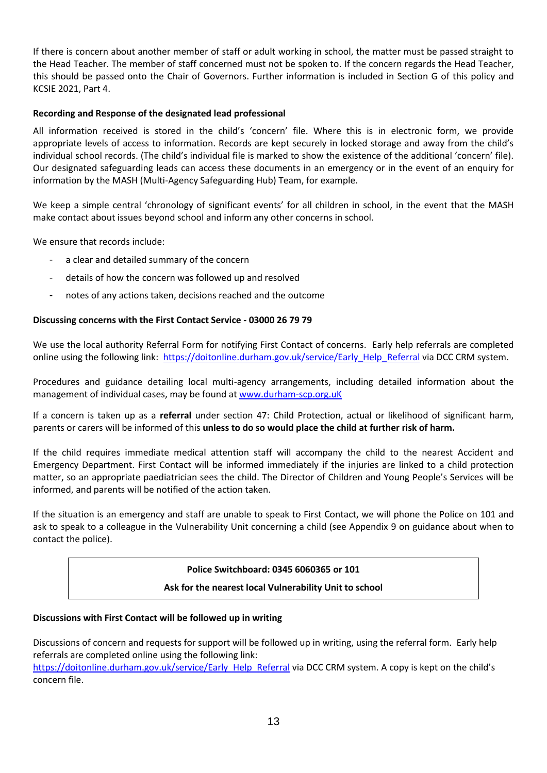If there is concern about another member of staff or adult working in school, the matter must be passed straight to the Head Teacher. The member of staff concerned must not be spoken to. If the concern regards the Head Teacher, this should be passed onto the Chair of Governors. Further information is included in Section G of this policy and KCSIE 2021, Part 4.

# **Recording and Response of the designated lead professional**

All information received is stored in the child's 'concern' file. Where this is in electronic form, we provide appropriate levels of access to information. Records are kept securely in locked storage and away from the child's individual school records. (The child's individual file is marked to show the existence of the additional 'concern' file). Our designated safeguarding leads can access these documents in an emergency or in the event of an enquiry for information by the MASH (Multi-Agency Safeguarding Hub) Team, for example.

We keep a simple central 'chronology of significant events' for all children in school, in the event that the MASH make contact about issues beyond school and inform any other concerns in school.

We ensure that records include:

- a clear and detailed summary of the concern
- details of how the concern was followed up and resolved
- notes of any actions taken, decisions reached and the outcome

## **Discussing concerns with the First Contact Service - 03000 26 79 79**

We use the local authority Referral Form for notifying First Contact of concerns. Early help referrals are completed online using the following link: [https://doitonline.durham.gov.uk/service/Early\\_Help\\_Referral](https://doitonline.durham.gov.uk/service/Early_Help_Referral) via DCC CRM system.

Procedures and guidance detailing local multi-agency arrangements, including detailed information about the management of individual cases, may be found at [www.durham-scp.org.uK](http://www.durham-scp.org.uk/)

If a concern is taken up as a **referral** under section 47: Child Protection, actual or likelihood of significant harm, parents or carers will be informed of this **unless to do so would place the child at further risk of harm.**

If the child requires immediate medical attention staff will accompany the child to the nearest Accident and Emergency Department. First Contact will be informed immediately if the injuries are linked to a child protection matter, so an appropriate paediatrician sees the child. The Director of Children and Young People's Services will be informed, and parents will be notified of the action taken.

If the situation is an emergency and staff are unable to speak to First Contact, we will phone the Police on 101 and ask to speak to a colleague in the Vulnerability Unit concerning a child (see Appendix 9 on guidance about when to contact the police).

#### **Police Switchboard: 0345 6060365 or 101**

# **Ask for the nearest local Vulnerability Unit to school**

#### **Discussions with First Contact will be followed up in writing**

Discussions of concern and requests for support will be followed up in writing, using the referral form. Early help referrals are completed online using the following link:

[https://doitonline.durham.gov.uk/service/Early\\_Help\\_Referral](https://doitonline.durham.gov.uk/service/Early_Help_Referral) via DCC CRM system. A copy is kept on the child's concern file.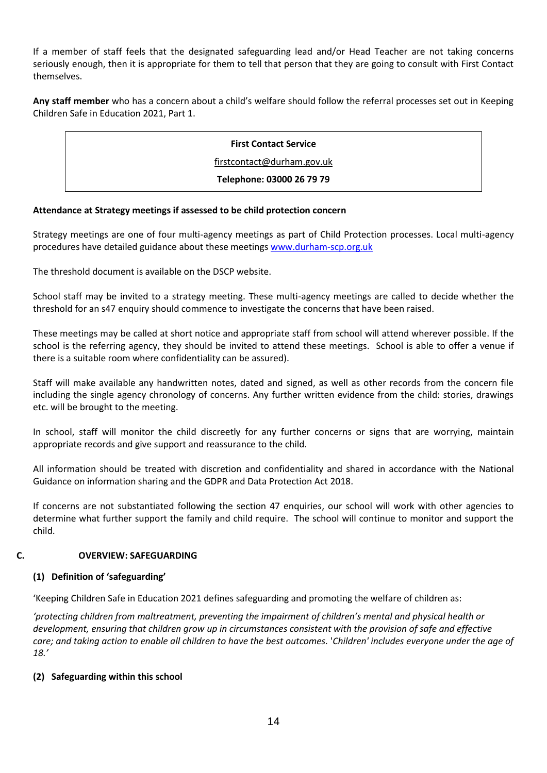If a member of staff feels that the designated safeguarding lead and/or Head Teacher are not taking concerns seriously enough, then it is appropriate for them to tell that person that they are going to consult with First Contact themselves.

**Any staff member** who has a concern about a child's welfare should follow the referral processes set out in Keeping Children Safe in Education 2021, Part 1.

| <b>First Contact Service</b> |
|------------------------------|
| firstcontact@durham.gov.uk   |
| Telephone: 03000 26 79 79    |
|                              |

# **Attendance at Strategy meetings if assessed to be child protection concern**

Strategy meetings are one of four multi-agency meetings as part of Child Protection processes. Local multi-agency procedures have detailed guidance about these meetings [www.durham-scp.org.uk](http://www.durham-scp.org.uk/)

The threshold document is available on the DSCP website.

School staff may be invited to a strategy meeting. These multi-agency meetings are called to decide whether the threshold for an s47 enquiry should commence to investigate the concerns that have been raised.

These meetings may be called at short notice and appropriate staff from school will attend wherever possible. If the school is the referring agency, they should be invited to attend these meetings. School is able to offer a venue if there is a suitable room where confidentiality can be assured).

Staff will make available any handwritten notes, dated and signed, as well as other records from the concern file including the single agency chronology of concerns. Any further written evidence from the child: stories, drawings etc. will be brought to the meeting.

In school, staff will monitor the child discreetly for any further concerns or signs that are worrying, maintain appropriate records and give support and reassurance to the child.

All information should be treated with discretion and confidentiality and shared in accordance with the National Guidance on information sharing and the GDPR and Data Protection Act 2018.

If concerns are not substantiated following the section 47 enquiries, our school will work with other agencies to determine what further support the family and child require. The school will continue to monitor and support the child.

# **C. OVERVIEW: SAFEGUARDING**

#### **(1) Definition of 'safeguarding'**

'Keeping Children Safe in Education 2021 defines safeguarding and promoting the welfare of children as:

*'protecting children from maltreatment, preventing the impairment of children's mental and physical health or development, ensuring that children grow up in circumstances consistent with the provision of safe and effective care; and taking action to enable all children to have the best outcomes.* '*Children' includes everyone under the age of 18.'*

# **(2) Safeguarding within this school**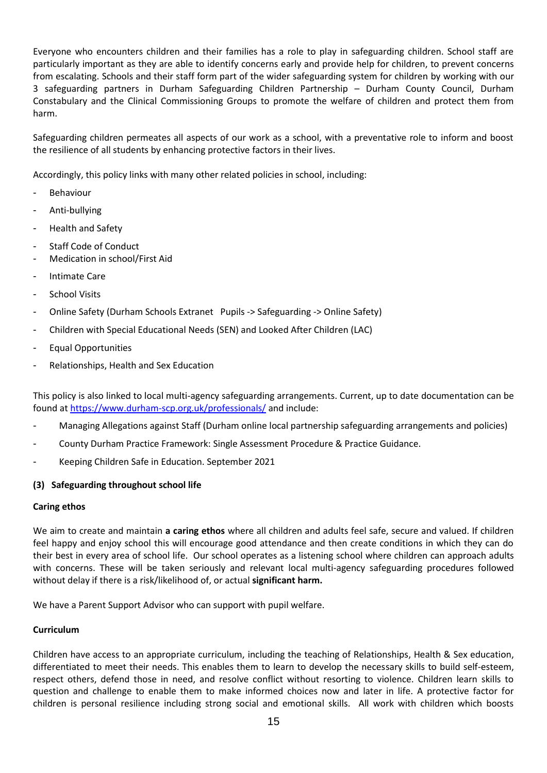Everyone who encounters children and their families has a role to play in safeguarding children. School staff are particularly important as they are able to identify concerns early and provide help for children, to prevent concerns from escalating. Schools and their staff form part of the wider safeguarding system for children by working with our 3 safeguarding partners in Durham Safeguarding Children Partnership – Durham County Council, Durham Constabulary and the Clinical Commissioning Groups to promote the welfare of children and protect them from harm.

Safeguarding children permeates all aspects of our work as a school, with a preventative role to inform and boost the resilience of all students by enhancing protective factors in their lives.

Accordingly, this policy links with many other related policies in school, including:

- **Behaviour**
- Anti-bullying
- Health and Safety
- Staff Code of Conduct
- Medication in school/First Aid
- Intimate Care
- School Visits
- Online Safety (Durham Schools Extranet Pupils -> Safeguarding -> Online Safety)
- Children with Special Educational Needs (SEN) and Looked After Children (LAC)
- Equal Opportunities
- Relationships, Health and Sex Education

This policy is also linked to local multi-agency safeguarding arrangements. Current, up to date documentation can be found at <https://www.durham-scp.org.uk/professionals/> and include:

- Managing Allegations against Staff (Durham online local partnership safeguarding arrangements and policies)
- County Durham Practice Framework: Single Assessment Procedure & Practice Guidance.
- Keeping Children Safe in Education. September 2021

#### **(3) Safeguarding throughout school life**

#### **Caring ethos**

We aim to create and maintain **a caring ethos** where all children and adults feel safe, secure and valued. If children feel happy and enjoy school this will encourage good attendance and then create conditions in which they can do their best in every area of school life. Our school operates as a listening school where children can approach adults with concerns. These will be taken seriously and relevant local multi-agency safeguarding procedures followed without delay if there is a risk/likelihood of, or actual **significant harm.**

We have a Parent Support Advisor who can support with pupil welfare.

#### **Curriculum**

Children have access to an appropriate curriculum, including the teaching of Relationships, Health & Sex education, differentiated to meet their needs. This enables them to learn to develop the necessary skills to build self-esteem, respect others, defend those in need, and resolve conflict without resorting to violence. Children learn skills to question and challenge to enable them to make informed choices now and later in life. A protective factor for children is personal resilience including strong social and emotional skills. All work with children which boosts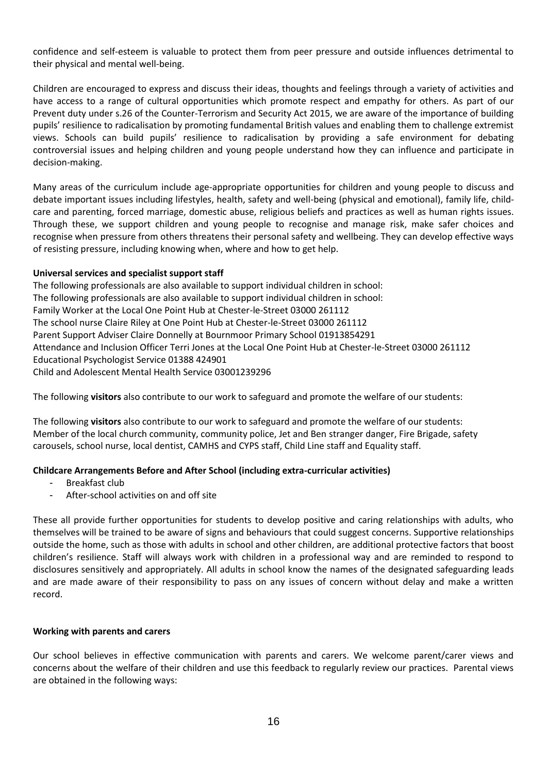confidence and self-esteem is valuable to protect them from peer pressure and outside influences detrimental to their physical and mental well-being.

Children are encouraged to express and discuss their ideas, thoughts and feelings through a variety of activities and have access to a range of cultural opportunities which promote respect and empathy for others. As part of our Prevent duty under s.26 of the Counter-Terrorism and Security Act 2015, we are aware of the importance of building pupils' resilience to radicalisation by promoting fundamental British values and enabling them to challenge extremist views. Schools can build pupils' resilience to radicalisation by providing a safe environment for debating controversial issues and helping children and young people understand how they can influence and participate in decision-making.

Many areas of the curriculum include age-appropriate opportunities for children and young people to discuss and debate important issues including lifestyles, health, safety and well-being (physical and emotional), family life, childcare and parenting, forced marriage, domestic abuse, religious beliefs and practices as well as human rights issues. Through these, we support children and young people to recognise and manage risk, make safer choices and recognise when pressure from others threatens their personal safety and wellbeing. They can develop effective ways of resisting pressure, including knowing when, where and how to get help.

## **Universal services and specialist support staff**

The following professionals are also available to support individual children in school: The following professionals are also available to support individual children in school: Family Worker at the Local One Point Hub at Chester-le-Street 03000 261112 The school nurse Claire Riley at One Point Hub at Chester-le-Street 03000 261112 Parent Support Adviser Claire Donnelly at Bournmoor Primary School 01913854291 Attendance and Inclusion Officer Terri Jones at the Local One Point Hub at Chester-le-Street 03000 261112 Educational Psychologist Service 01388 424901 Child and Adolescent Mental Health Service 03001239296

The following **visitors** also contribute to our work to safeguard and promote the welfare of our students:

The following **visitors** also contribute to our work to safeguard and promote the welfare of our students: Member of the local church community, community police, Jet and Ben stranger danger, Fire Brigade, safety carousels, school nurse, local dentist, CAMHS and CYPS staff, Child Line staff and Equality staff.

# **Childcare Arrangements Before and After School (including extra-curricular activities)**

- Breakfast club
- After-school activities on and off site

These all provide further opportunities for students to develop positive and caring relationships with adults, who themselves will be trained to be aware of signs and behaviours that could suggest concerns. Supportive relationships outside the home, such as those with adults in school and other children, are additional protective factors that boost children's resilience. Staff will always work with children in a professional way and are reminded to respond to disclosures sensitively and appropriately. All adults in school know the names of the designated safeguarding leads and are made aware of their responsibility to pass on any issues of concern without delay and make a written record.

#### **Working with parents and carers**

Our school believes in effective communication with parents and carers. We welcome parent/carer views and concerns about the welfare of their children and use this feedback to regularly review our practices. Parental views are obtained in the following ways: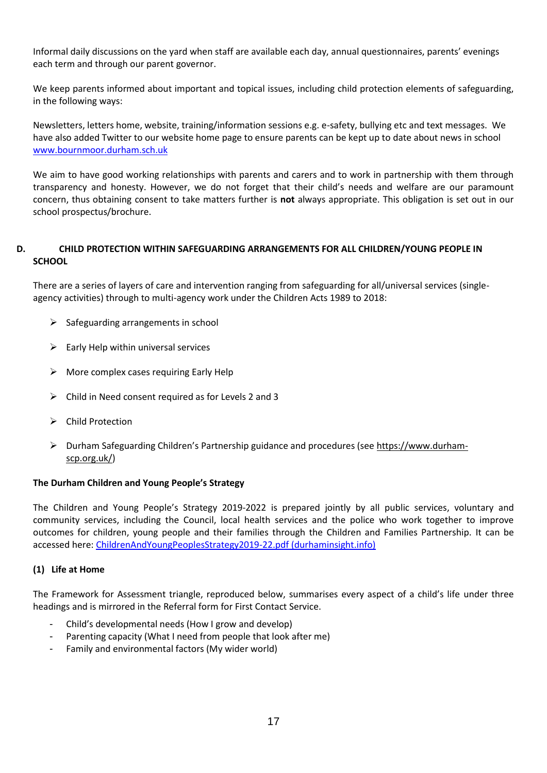Informal daily discussions on the yard when staff are available each day, annual questionnaires, parents' evenings each term and through our parent governor.

We keep parents informed about important and topical issues, including child protection elements of safeguarding, in the following ways:

Newsletters, letters home, website, training/information sessions e.g. e-safety, bullying etc and text messages. We have also added Twitter to our website home page to ensure parents can be kept up to date about news in school [www.bournmoor.durham.sch.uk](http://www.bournmoor.durham.sch.uk/)

We aim to have good working relationships with parents and carers and to work in partnership with them through transparency and honesty. However, we do not forget that their child's needs and welfare are our paramount concern, thus obtaining consent to take matters further is **not** always appropriate. This obligation is set out in our school prospectus/brochure.

# **D. CHILD PROTECTION WITHIN SAFEGUARDING ARRANGEMENTS FOR ALL CHILDREN/YOUNG PEOPLE IN SCHOOL**

There are a series of layers of care and intervention ranging from safeguarding for all/universal services (singleagency activities) through to multi-agency work under the Children Acts 1989 to 2018:

- $\triangleright$  Safeguarding arrangements in school
- $\triangleright$  Early Help within universal services
- $\triangleright$  More complex cases requiring Early Help
- ➢ Child in Need consent required as for Levels 2 and 3
- ➢ Child Protection
- ➢ Durham Safeguarding Children's Partnership guidance and procedures (se[e https://www.durham](https://www.durham-scp.org.uk/)[scp.org.uk/\)](https://www.durham-scp.org.uk/)

#### **The Durham Children and Young People's Strategy**

The Children and Young People's Strategy 2019-2022 is prepared jointly by all public services, voluntary and community services, including the Council, local health services and the police who work together to improve outcomes for children, young people and their families through the Children and Families Partnership. It can be accessed here: [ChildrenAndYoungPeoplesStrategy2019-22.pdf \(durhaminsight.info\)](https://www.durhaminsight.info/wp-content/uploads/2019/06/ChildrenAndYoungPeoplesStrategy2019-22.pdf)

#### **(1) Life at Home**

The Framework for Assessment triangle, reproduced below, summarises every aspect of a child's life under three headings and is mirrored in the Referral form for First Contact Service.

- Child's developmental needs (How I grow and develop)
- Parenting capacity (What I need from people that look after me)
- Family and environmental factors (My wider world)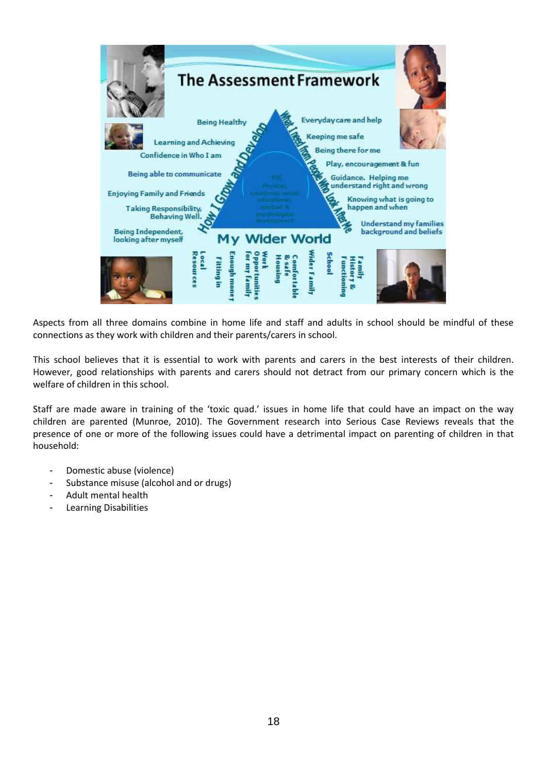

Aspects from all three domains combine in home life and staff and adults in school should be mindful of these connections as they work with children and their parents/carers in school.

This school believes that it is essential to work with parents and carers in the best interests of their children. However, good relationships with parents and carers should not detract from our primary concern which is the welfare of children in this school.

Staff are made aware in training of the 'toxic quad.' issues in home life that could have an impact on the way children are parented (Munroe, 2010). The Government research into Serious Case Reviews reveals that the presence of one or more of the following issues could have a detrimental impact on parenting of children in that household:

- Domestic abuse (violence)
- Substance misuse (alcohol and or drugs)
- Adult mental health
- Learning Disabilities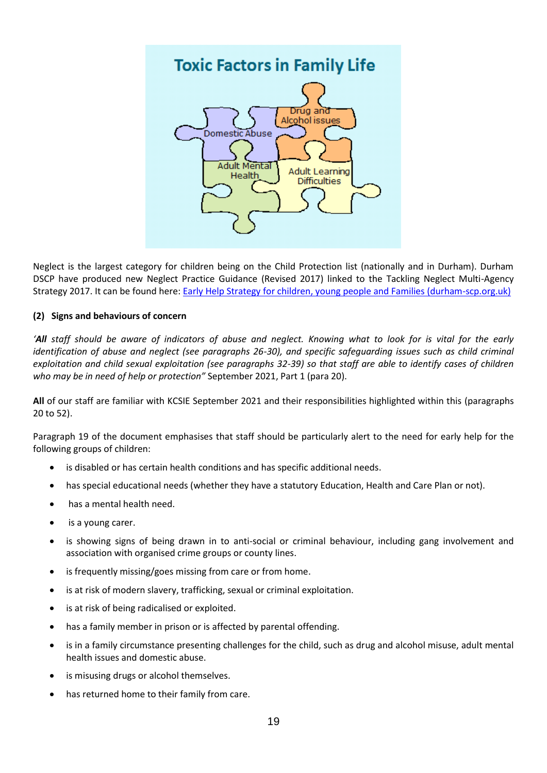

Neglect is the largest category for children being on the Child Protection list (nationally and in Durham). Durham DSCP have produced new Neglect Practice Guidance (Revised 2017) linked to the Tackling Neglect Multi-Agency Strategy 2017. It can be found here: [Early Help Strategy for children, young people and Families \(durham-scp.org.uk\)](https://durham-scp.org.uk/wp-content/uploads/2016/06/1458036245-Neglect-Practice-Guidance-2016-Final.pdf)

# **(2) Signs and behaviours of concern**

*'All staff should be aware of indicators of abuse and neglect. Knowing what to look for is vital for the early identification of abuse and neglect (see paragraphs 26-30), and specific safeguarding issues such as child criminal exploitation and child sexual exploitation (see paragraphs 32-39) so that staff are able to identify cases of children who may be in need of help or protection"* September 2021, Part 1 (para 20).

**All** of our staff are familiar with KCSIE September 2021 and their responsibilities highlighted within this (paragraphs 20 to 52).

Paragraph 19 of the document emphasises that staff should be particularly alert to the need for early help for the following groups of children:

- is disabled or has certain health conditions and has specific additional needs.
- has special educational needs (whether they have a statutory Education, Health and Care Plan or not).
- has a mental health need.
- is a young carer.
- is showing signs of being drawn in to anti-social or criminal behaviour, including gang involvement and association with organised crime groups or county lines.
- is frequently missing/goes missing from care or from home.
- is at risk of modern slavery, trafficking, sexual or criminal exploitation.
- is at risk of being radicalised or exploited.
- has a family member in prison or is affected by parental offending.
- is in a family circumstance presenting challenges for the child, such as drug and alcohol misuse, adult mental health issues and domestic abuse.
- is misusing drugs or alcohol themselves.
- has returned home to their family from care.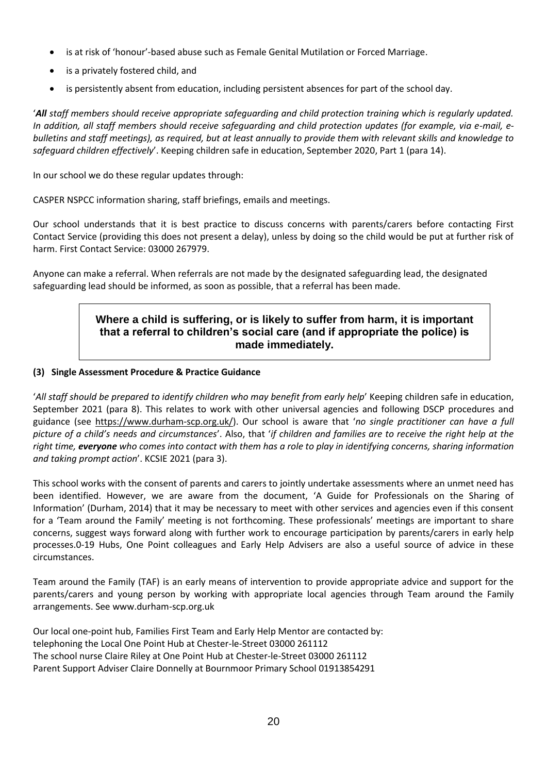- is at risk of 'honour'-based abuse such as Female Genital Mutilation or Forced Marriage.
- is a privately fostered child, and
- is persistently absent from education, including persistent absences for part of the school day.

'*All staff members should receive appropriate safeguarding and child protection training which is regularly updated. In addition, all staff members should receive safeguarding and child protection updates (for example, via e-mail, ebulletins and staff meetings), as required, but at least annually to provide them with relevant skills and knowledge to safeguard children effectively*'. Keeping children safe in education, September 2020, Part 1 (para 14).

In our school we do these regular updates through:

CASPER NSPCC information sharing, staff briefings, emails and meetings.

Our school understands that it is best practice to discuss concerns with parents/carers before contacting First Contact Service (providing this does not present a delay), unless by doing so the child would be put at further risk of harm. First Contact Service: 03000 267979.

Anyone can make a referral. When referrals are not made by the designated safeguarding lead, the designated safeguarding lead should be informed, as soon as possible, that a referral has been made.

# **Where a child is suffering, or is likely to suffer from harm, it is important that a referral to children's social care (and if appropriate the police) is made immediately.**

## **(3) Single Assessment Procedure & Practice Guidance**

'*All staff should be prepared to identify children who may benefit from early help*' Keeping children safe in education, September 2021 (para 8). This relates to work with other universal agencies and following DSCP procedures and guidance (see [https://www.durham-scp.org.uk/\)](https://www.durham-scp.org.uk/). Our school is aware that '*no single practitioner can have a full picture of a child's needs and circumstances*'. Also, that '*if children and families are to receive the right help at the right time, everyone who comes into contact with them has a role to play in identifying concerns, sharing information and taking prompt action*'. KCSIE 2021 (para 3).

This school works with the consent of parents and carers to jointly undertake assessments where an unmet need has been identified. However, we are aware from the document, 'A Guide for Professionals on the Sharing of Information' (Durham, 2014) that it may be necessary to meet with other services and agencies even if this consent for a 'Team around the Family' meeting is not forthcoming. These professionals' meetings are important to share concerns, suggest ways forward along with further work to encourage participation by parents/carers in early help processes.0-19 Hubs, One Point colleagues and Early Help Advisers are also a useful source of advice in these circumstances.

Team around the Family (TAF) is an early means of intervention to provide appropriate advice and support for the parents/carers and young person by working with appropriate local agencies through Team around the Family arrangements. See www.durham-scp.org.uk

Our local one-point hub, Families First Team and Early Help Mentor are contacted by: telephoning the Local One Point Hub at Chester-le-Street 03000 261112 The school nurse Claire Riley at One Point Hub at Chester-le-Street 03000 261112 Parent Support Adviser Claire Donnelly at Bournmoor Primary School 01913854291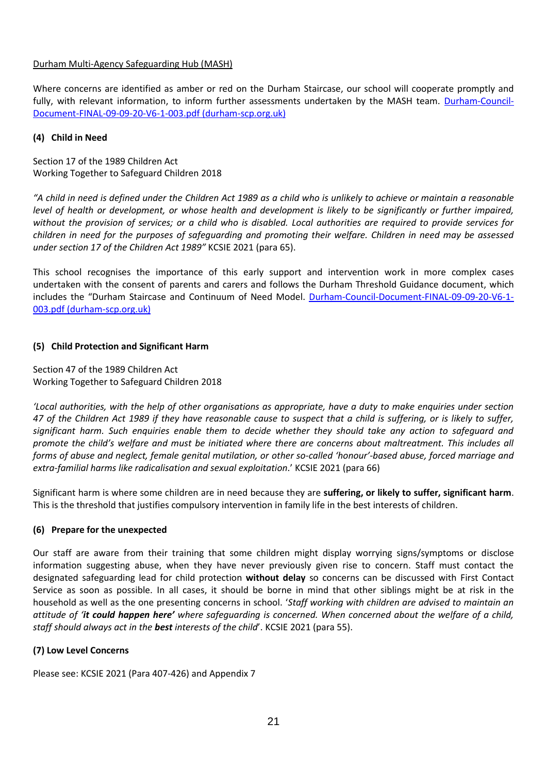## Durham Multi-Agency Safeguarding Hub (MASH)

Where concerns are identified as amber or red on the Durham Staircase, our school will cooperate promptly and fully, with relevant information, to inform further assessments undertaken by the MASH team. [Durham-Council-](https://durham-scp.org.uk/wp-content/uploads/2020/09/Durham-Council-Document-FINAL-09-09-20-V6-1-003.pdf)[Document-FINAL-09-09-20-V6-1-003.pdf \(durham-scp.org.uk\)](https://durham-scp.org.uk/wp-content/uploads/2020/09/Durham-Council-Document-FINAL-09-09-20-V6-1-003.pdf)

## **(4) Child in Need**

Section 17 of the 1989 Children Act Working Together to Safeguard Children 2018

*"A child in need is defined under the Children Act 1989 as a child who is unlikely to achieve or maintain a reasonable level of health or development, or whose health and development is likely to be significantly or further impaired, without the provision of services; or a child who is disabled. Local authorities are required to provide services for children in need for the purposes of safeguarding and promoting their welfare. Children in need may be assessed under section 17 of the Children Act 1989"* KCSIE 2021 (para 65).

This school recognises the importance of this early support and intervention work in more complex cases undertaken with the consent of parents and carers and follows the Durham Threshold Guidance document, which includes the "Durham Staircase and Continuum of Need Model. [Durham-Council-Document-FINAL-09-09-20-V6-1-](https://durham-scp.org.uk/wp-content/uploads/2020/09/Durham-Council-Document-FINAL-09-09-20-V6-1-003.pdf) [003.pdf \(durham-scp.org.uk\)](https://durham-scp.org.uk/wp-content/uploads/2020/09/Durham-Council-Document-FINAL-09-09-20-V6-1-003.pdf)

# **(5) Child Protection and Significant Harm**

Section 47 of the 1989 Children Act Working Together to Safeguard Children 2018

*'Local authorities, with the help of other organisations as appropriate, have a duty to make enquiries under section 47 of the Children Act 1989 if they have reasonable cause to suspect that a child is suffering, or is likely to suffer, significant harm. Such enquiries enable them to decide whether they should take any action to safeguard and promote the child's welfare and must be initiated where there are concerns about maltreatment. This includes all forms of abuse and neglect, female genital mutilation, or other so-called 'honour'-based abuse, forced marriage and extra-familial harms like radicalisation and sexual exploitation*.' KCSIE 2021 (para 66)

Significant harm is where some children are in need because they are **suffering, or likely to suffer, significant harm**. This is the threshold that justifies compulsory intervention in family life in the best interests of children.

# **(6) Prepare for the unexpected**

Our staff are aware from their training that some children might display worrying signs/symptoms or disclose information suggesting abuse, when they have never previously given rise to concern. Staff must contact the designated safeguarding lead for child protection **without delay** so concerns can be discussed with First Contact Service as soon as possible. In all cases, it should be borne in mind that other siblings might be at risk in the household as well as the one presenting concerns in school. '*Staff working with children are advised to maintain an attitude of 'it could happen here' where safeguarding is concerned. When concerned about the welfare of a child, staff should always act in the best interests of the child*'. KCSIE 2021 (para 55).

# **(7) Low Level Concerns**

Please see: KCSIE 2021 (Para 407-426) and Appendix 7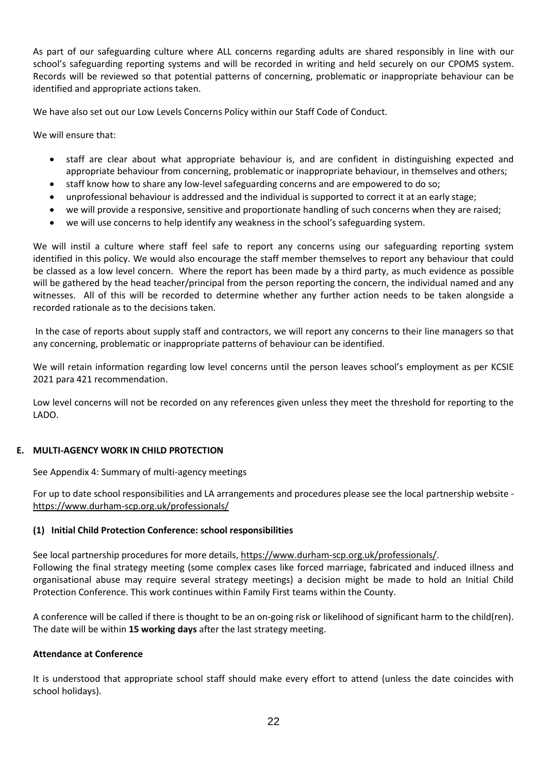As part of our safeguarding culture where ALL concerns regarding adults are shared responsibly in line with our school's safeguarding reporting systems and will be recorded in writing and held securely on our CPOMS system. Records will be reviewed so that potential patterns of concerning, problematic or inappropriate behaviour can be identified and appropriate actions taken.

We have also set out our Low Levels Concerns Policy within our Staff Code of Conduct.

We will ensure that:

- staff are clear about what appropriate behaviour is, and are confident in distinguishing expected and appropriate behaviour from concerning, problematic or inappropriate behaviour, in themselves and others;
- staff know how to share any low-level safeguarding concerns and are empowered to do so;
- unprofessional behaviour is addressed and the individual is supported to correct it at an early stage;
- we will provide a responsive, sensitive and proportionate handling of such concerns when they are raised;
- we will use concerns to help identify any weakness in the school's safeguarding system.

We will instil a culture where staff feel safe to report any concerns using our safeguarding reporting system identified in this policy. We would also encourage the staff member themselves to report any behaviour that could be classed as a low level concern. Where the report has been made by a third party, as much evidence as possible will be gathered by the head teacher/principal from the person reporting the concern, the individual named and any witnesses. All of this will be recorded to determine whether any further action needs to be taken alongside a recorded rationale as to the decisions taken.

In the case of reports about supply staff and contractors, we will report any concerns to their line managers so that any concerning, problematic or inappropriate patterns of behaviour can be identified.

We will retain information regarding low level concerns until the person leaves school's employment as per KCSIE 2021 para 421 recommendation.

Low level concerns will not be recorded on any references given unless they meet the threshold for reporting to the LADO.

# **E. MULTI-AGENCY WORK IN CHILD PROTECTION**

See Appendix 4: Summary of multi-agency meetings

For up to date school responsibilities and LA arrangements and procedures please see the local partnership website <https://www.durham-scp.org.uk/professionals/>

#### **(1) Initial Child Protection Conference: school responsibilities**

See local partnership procedures for more details, [https://www.durham-scp.org.uk/professionals/.](https://www.durham-scp.org.uk/professionals/) Following the final strategy meeting (some complex cases like forced marriage, fabricated and induced illness and organisational abuse may require several strategy meetings) a decision might be made to hold an Initial Child Protection Conference. This work continues within Family First teams within the County.

A conference will be called if there is thought to be an on-going risk or likelihood of significant harm to the child(ren). The date will be within **15 working days** after the last strategy meeting.

#### **Attendance at Conference**

It is understood that appropriate school staff should make every effort to attend (unless the date coincides with school holidays).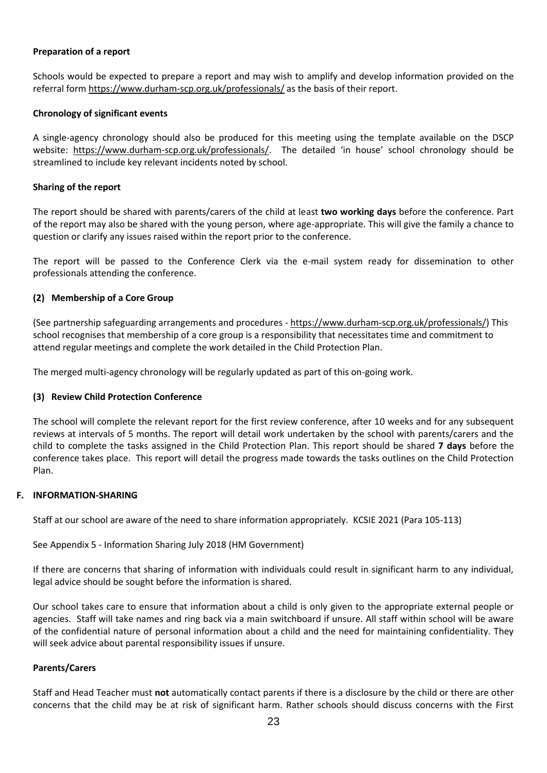## **Preparation of a report**

Schools would be expected to prepare a report and may wish to amplify and develop information provided on the referral form <https://www.durham-scp.org.uk/professionals/> as the basis of their report.

## **Chronology of significant events**

A single-agency chronology should also be produced for this meeting using the template available on the DSCP website: [https://www.durham-scp.org.uk/professionals/.](https://www.durham-scp.org.uk/professionals/) The detailed 'in house' school chronology should be streamlined to include key relevant incidents noted by school.

## **Sharing of the report**

The report should be shared with parents/carers of the child at least **two working days** before the conference. Part of the report may also be shared with the young person, where age-appropriate. This will give the family a chance to question or clarify any issues raised within the report prior to the conference.

The report will be passed to the Conference Clerk via the e-mail system ready for dissemination to other professionals attending the conference.

## **(2) Membership of a Core Group**

(See partnership safeguarding arrangements and procedures - [https://www.durham-scp.org.uk/professionals/\)](https://www.durham-scp.org.uk/professionals/) This school recognises that membership of a core group is a responsibility that necessitates time and commitment to attend regular meetings and complete the work detailed in the Child Protection Plan.

The merged multi-agency chronology will be regularly updated as part of this on-going work.

#### **(3) Review Child Protection Conference**

The school will complete the relevant report for the first review conference, after 10 weeks and for any subsequent reviews at intervals of 5 months. The report will detail work undertaken by the school with parents/carers and the child to complete the tasks assigned in the Child Protection Plan. This report should be shared **7 days** before the conference takes place. This report will detail the progress made towards the tasks outlines on the Child Protection Plan.

#### **F. INFORMATION-SHARING**

Staff at our school are aware of the need to share information appropriately. KCSIE 2021 (Para 105-113)

See Appendix 5 - Information Sharing July 2018 (HM Government)

If there are concerns that sharing of information with individuals could result in significant harm to any individual, legal advice should be sought before the information is shared.

Our school takes care to ensure that information about a child is only given to the appropriate external people or agencies. Staff will take names and ring back via a main switchboard if unsure. All staff within school will be aware of the confidential nature of personal information about a child and the need for maintaining confidentiality. They will seek advice about parental responsibility issues if unsure.

#### **Parents/Carers**

Staff and Head Teacher must **not** automatically contact parents if there is a disclosure by the child or there are other concerns that the child may be at risk of significant harm. Rather schools should discuss concerns with the First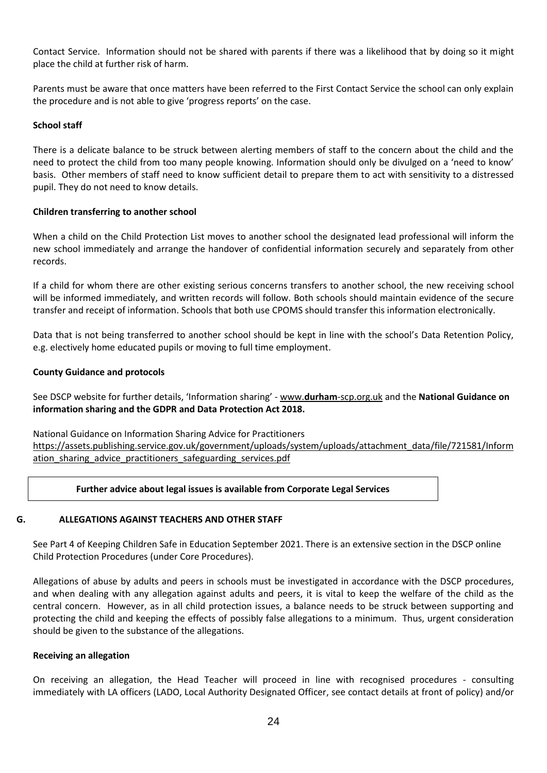Contact Service. Information should not be shared with parents if there was a likelihood that by doing so it might place the child at further risk of harm.

Parents must be aware that once matters have been referred to the First Contact Service the school can only explain the procedure and is not able to give 'progress reports' on the case.

## **School staff**

There is a delicate balance to be struck between alerting members of staff to the concern about the child and the need to protect the child from too many people knowing. Information should only be divulged on a 'need to know' basis. Other members of staff need to know sufficient detail to prepare them to act with sensitivity to a distressed pupil. They do not need to know details.

## **Children transferring to another school**

When a child on the Child Protection List moves to another school the designated lead professional will inform the new school immediately and arrange the handover of confidential information securely and separately from other records.

If a child for whom there are other existing serious concerns transfers to another school, the new receiving school will be informed immediately, and written records will follow. Both schools should maintain evidence of the secure transfer and receipt of information. Schools that both use CPOMS should transfer this information electronically.

Data that is not being transferred to another school should be kept in line with the school's Data Retention Policy, e.g. electively home educated pupils or moving to full time employment.

## **County Guidance and protocols**

See DSCP website for further details, 'Information sharing' - www.**durham**[-scp.org.uk](http://www.durham-scp.org.uk/) and the **National Guidance on information sharing and the GDPR and Data Protection Act 2018.**

National Guidance on Information Sharing Advice for Practitioners [https://assets.publishing.service.gov.uk/government/uploads/system/uploads/attachment\\_data/file/721581/Inform](https://assets.publishing.service.gov.uk/government/uploads/system/uploads/attachment_data/file/721581/Information_sharing_advice_practitioners_safeguarding_services.pdf) ation sharing advice practitioners safeguarding services.pdf

# **Further advice about legal issues is available from Corporate Legal Services**

#### **G. ALLEGATIONS AGAINST TEACHERS AND OTHER STAFF**

See Part 4 of Keeping Children Safe in Education September 2021. There is an extensive section in the DSCP online Child Protection Procedures (under Core Procedures).

Allegations of abuse by adults and peers in schools must be investigated in accordance with the DSCP procedures, and when dealing with any allegation against adults and peers, it is vital to keep the welfare of the child as the central concern. However, as in all child protection issues, a balance needs to be struck between supporting and protecting the child and keeping the effects of possibly false allegations to a minimum. Thus, urgent consideration should be given to the substance of the allegations.

#### **Receiving an allegation**

On receiving an allegation, the Head Teacher will proceed in line with recognised procedures - consulting immediately with LA officers (LADO, Local Authority Designated Officer, see contact details at front of policy) and/or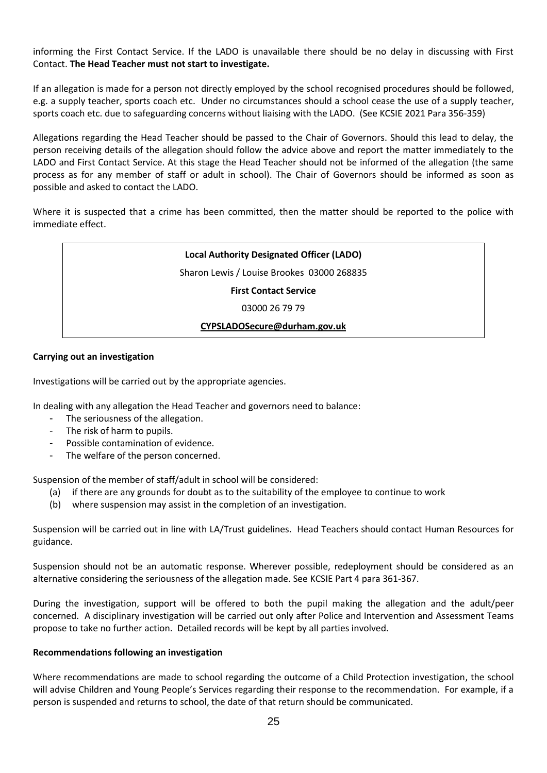informing the First Contact Service. If the LADO is unavailable there should be no delay in discussing with First Contact. **The Head Teacher must not start to investigate.**

If an allegation is made for a person not directly employed by the school recognised procedures should be followed, e.g. a supply teacher, sports coach etc. Under no circumstances should a school cease the use of a supply teacher, sports coach etc. due to safeguarding concerns without liaising with the LADO. (See KCSIE 2021 Para 356-359)

Allegations regarding the Head Teacher should be passed to the Chair of Governors. Should this lead to delay, the person receiving details of the allegation should follow the advice above and report the matter immediately to the LADO and First Contact Service. At this stage the Head Teacher should not be informed of the allegation (the same process as for any member of staff or adult in school). The Chair of Governors should be informed as soon as possible and asked to contact the LADO.

Where it is suspected that a crime has been committed, then the matter should be reported to the police with immediate effect.



## **Carrying out an investigation**

Investigations will be carried out by the appropriate agencies.

In dealing with any allegation the Head Teacher and governors need to balance:

- The seriousness of the allegation.
- The risk of harm to pupils.
- Possible contamination of evidence.
- The welfare of the person concerned.

Suspension of the member of staff/adult in school will be considered:

- (a) if there are any grounds for doubt as to the suitability of the employee to continue to work
- (b) where suspension may assist in the completion of an investigation.

Suspension will be carried out in line with LA/Trust guidelines. Head Teachers should contact Human Resources for guidance.

Suspension should not be an automatic response. Wherever possible, redeployment should be considered as an alternative considering the seriousness of the allegation made. See KCSIE Part 4 para 361-367.

During the investigation, support will be offered to both the pupil making the allegation and the adult/peer concerned. A disciplinary investigation will be carried out only after Police and Intervention and Assessment Teams propose to take no further action. Detailed records will be kept by all parties involved.

#### **Recommendations following an investigation**

Where recommendations are made to school regarding the outcome of a Child Protection investigation, the school will advise Children and Young People's Services regarding their response to the recommendation. For example, if a person is suspended and returns to school, the date of that return should be communicated.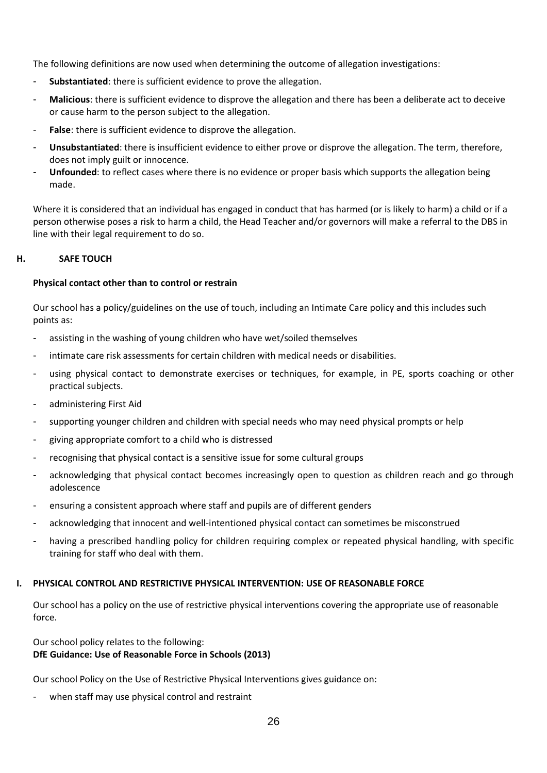The following definitions are now used when determining the outcome of allegation investigations:

- **Substantiated:** there is sufficient evidence to prove the allegation.
- **Malicious**: there is sufficient evidence to disprove the allegation and there has been a deliberate act to deceive or cause harm to the person subject to the allegation.
- **False**: there is sufficient evidence to disprove the allegation.
- **Unsubstantiated**: there is insufficient evidence to either prove or disprove the allegation. The term, therefore, does not imply guilt or innocence.
- **Unfounded**: to reflect cases where there is no evidence or proper basis which supports the allegation being made.

Where it is considered that an individual has engaged in conduct that has harmed (or is likely to harm) a child or if a person otherwise poses a risk to harm a child, the Head Teacher and/or governors will make a referral to the DBS in line with their legal requirement to do so.

## **H. SAFE TOUCH**

#### **Physical contact other than to control or restrain**

Our school has a policy/guidelines on the use of touch, including an Intimate Care policy and this includes such points as:

- assisting in the washing of young children who have wet/soiled themselves
- intimate care risk assessments for certain children with medical needs or disabilities.
- using physical contact to demonstrate exercises or techniques, for example, in PE, sports coaching or other practical subjects.
- administering First Aid
- supporting younger children and children with special needs who may need physical prompts or help
- giving appropriate comfort to a child who is distressed
- recognising that physical contact is a sensitive issue for some cultural groups
- acknowledging that physical contact becomes increasingly open to question as children reach and go through adolescence
- ensuring a consistent approach where staff and pupils are of different genders
- acknowledging that innocent and well-intentioned physical contact can sometimes be misconstrued
- having a prescribed handling policy for children requiring complex or repeated physical handling, with specific training for staff who deal with them.

#### **I. PHYSICAL CONTROL AND RESTRICTIVE PHYSICAL INTERVENTION: USE OF REASONABLE FORCE**

Our school has a policy on the use of restrictive physical interventions covering the appropriate use of reasonable force.

#### Our school policy relates to the following: **DfE Guidance: Use of Reasonable Force in Schools (2013)**

Our school Policy on the Use of Restrictive Physical Interventions gives guidance on:

when staff may use physical control and restraint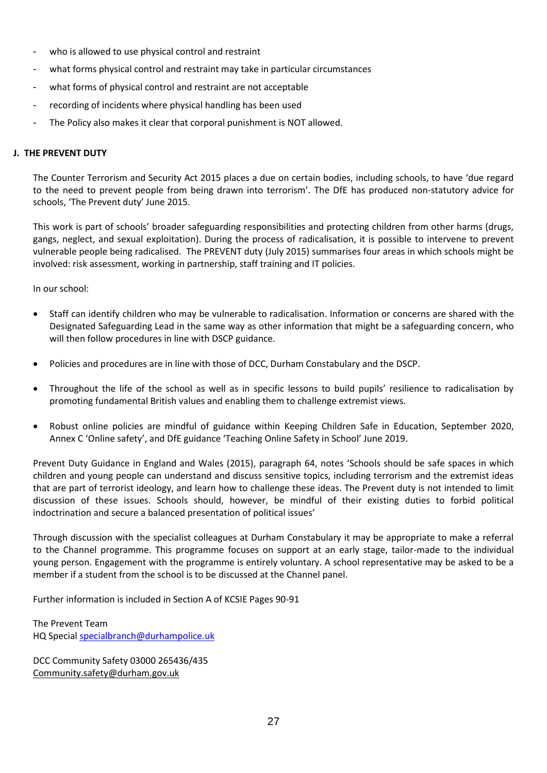- who is allowed to use physical control and restraint
- what forms physical control and restraint may take in particular circumstances
- what forms of physical control and restraint are not acceptable
- recording of incidents where physical handling has been used
- The Policy also makes it clear that corporal punishment is NOT allowed.

### **J. THE PREVENT DUTY**

The Counter Terrorism and Security Act 2015 places a due on certain bodies, including schools, to have 'due regard to the need to prevent people from being drawn into terrorism'. The DfE has produced non-statutory advice for schools, 'The Prevent duty' June 2015.

This work is part of schools' broader safeguarding responsibilities and protecting children from other harms (drugs, gangs, neglect, and sexual exploitation). During the process of radicalisation, it is possible to intervene to prevent vulnerable people being radicalised. The PREVENT duty (July 2015) summarises four areas in which schools might be involved: risk assessment, working in partnership, staff training and IT policies.

In our school:

- Staff can identify children who may be vulnerable to radicalisation. Information or concerns are shared with the Designated Safeguarding Lead in the same way as other information that might be a safeguarding concern, who will then follow procedures in line with DSCP guidance.
- Policies and procedures are in line with those of DCC, Durham Constabulary and the DSCP.
- Throughout the life of the school as well as in specific lessons to build pupils' resilience to radicalisation by promoting fundamental British values and enabling them to challenge extremist views.
- Robust online policies are mindful of guidance within Keeping Children Safe in Education, September 2020, Annex C 'Online safety', and DfE guidance 'Teaching Online Safety in School' June 2019.

Prevent Duty Guidance in England and Wales (2015), paragraph 64, notes 'Schools should be safe spaces in which children and young people can understand and discuss sensitive topics, including terrorism and the extremist ideas that are part of terrorist ideology, and learn how to challenge these ideas. The Prevent duty is not intended to limit discussion of these issues. Schools should, however, be mindful of their existing duties to forbid political indoctrination and secure a balanced presentation of political issues'

Through discussion with the specialist colleagues at Durham Constabulary it may be appropriate to make a referral to the Channel programme. This programme focuses on support at an early stage, tailor-made to the individual young person. Engagement with the programme is entirely voluntary. A school representative may be asked to be a member if a student from the school is to be discussed at the Channel panel.

Further information is included in Section A of KCSIE Pages 90-91

The Prevent Team HQ Specia[l specialbranch@durhampolice.uk](mailto:specialbranch@durhampolice.uk)

DCC Community Safety 03000 265436/435 [Community.safety@durham.gov.uk](mailto:Community.safety@durham.gov.uk)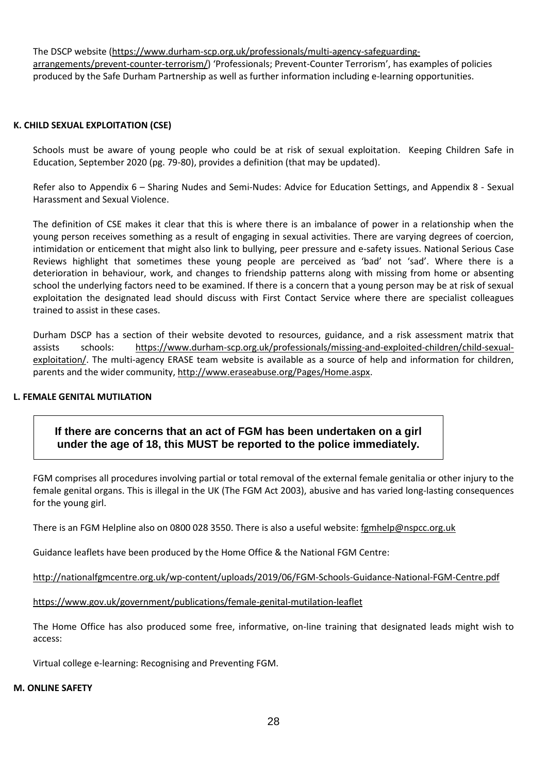The DSCP website [\(https://www.durham-scp.org.uk/professionals/multi-agency-safeguarding](https://www.durham-scp.org.uk/professionals/multi-agency-safeguarding-arrangements/prevent-counter-terrorism/)[arrangements/prevent-counter-terrorism/\)](https://www.durham-scp.org.uk/professionals/multi-agency-safeguarding-arrangements/prevent-counter-terrorism/) 'Professionals; Prevent-Counter Terrorism', has examples of policies produced by the Safe Durham Partnership as well as further information including e-learning opportunities.

#### **K. CHILD SEXUAL EXPLOITATION (CSE)**

Schools must be aware of young people who could be at risk of sexual exploitation. Keeping Children Safe in Education, September 2020 (pg. 79-80), provides a definition (that may be updated).

Refer also to Appendix 6 – Sharing Nudes and Semi-Nudes: Advice for Education Settings, and Appendix 8 - Sexual Harassment and Sexual Violence.

The definition of CSE makes it clear that this is where there is an imbalance of power in a relationship when the young person receives something as a result of engaging in sexual activities. There are varying degrees of coercion, intimidation or enticement that might also link to bullying, peer pressure and e-safety issues. National Serious Case Reviews highlight that sometimes these young people are perceived as 'bad' not 'sad'. Where there is a deterioration in behaviour, work, and changes to friendship patterns along with missing from home or absenting school the underlying factors need to be examined. If there is a concern that a young person may be at risk of sexual exploitation the designated lead should discuss with First Contact Service where there are specialist colleagues trained to assist in these cases.

Durham DSCP has a section of their website devoted to resources, guidance, and a risk assessment matrix that assists schools: [https://www.durham-scp.org.uk/professionals/missing-and-exploited-children/child-sexual](https://www.durham-scp.org.uk/professionals/missing-and-exploited-children/child-sexual-exploitation/)[exploitation/.](https://www.durham-scp.org.uk/professionals/missing-and-exploited-children/child-sexual-exploitation/) The multi-agency ERASE team website is available as a source of help and information for children, parents and the wider community, [http://www.eraseabuse.org/Pages/Home.aspx.](http://www.eraseabuse.org/Pages/Home.aspx)

# **L. FEMALE GENITAL MUTILATION**

**If there are concerns that an act of FGM has been undertaken on a girl under the age of 18, this MUST be reported to the police immediately.**

FGM comprises all procedures involving partial or total removal of the external female genitalia or other injury to the female genital organs. This is illegal in the UK (The FGM Act 2003), abusive and has varied long-lasting consequences for the young girl.

There is an FGM Helpline also on 0800 028 3550. There is also a useful website[: fgmhelp@nspcc.org.uk](mailto:fgmhelp@nspcc.org.uk)

Guidance leaflets have been produced by the Home Office & the National FGM Centre:

<http://nationalfgmcentre.org.uk/wp-content/uploads/2019/06/FGM-Schools-Guidance-National-FGM-Centre.pdf>

[https://www.gov.uk/government/publications/female-genital-mutilation-leaflet](http://briefing.safeguardinginschools.co.uk/lt.php?s=c08dd3322ee433f9daa71867532506b1&i=73A99A5A617)

The Home Office has also produced some free, informative, on-line training that designated leads might wish to access:

Virtual college e-learning: Recognising and Preventing FGM.

#### **M. ONLINE SAFETY**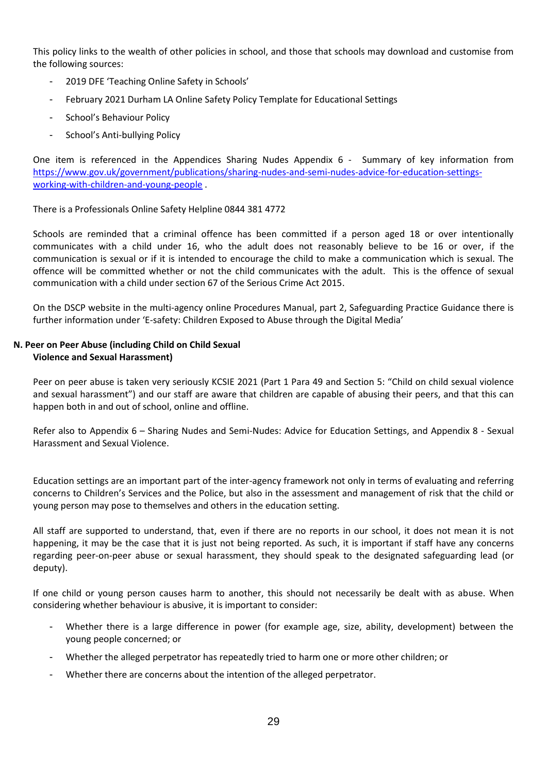This policy links to the wealth of other policies in school, and those that schools may download and customise from the following sources:

- 2019 DFE 'Teaching Online Safety in Schools'
- February 2021 Durham LA Online Safety Policy Template for Educational Settings
- School's Behaviour Policy
- School's Anti-bullying Policy

One item is referenced in the Appendices Sharing Nudes Appendix 6 - Summary of key information from [https://www.gov.uk/government/publications/sharing-nudes-and-semi-nudes-advice-for-education-settings](https://www.gov.uk/government/publications/sharing-nudes-and-semi-nudes-advice-for-education-settings-working-with-children-and-young-people)[working-with-children-and-young-people](https://www.gov.uk/government/publications/sharing-nudes-and-semi-nudes-advice-for-education-settings-working-with-children-and-young-people) .

There is a Professionals Online Safety Helpline 0844 381 4772

Schools are reminded that a criminal offence has been committed if a person aged 18 or over intentionally communicates with a child under 16, who the adult does not reasonably believe to be 16 or over, if the communication is sexual or if it is intended to encourage the child to make a communication which is sexual. The offence will be committed whether or not the child communicates with the adult. This is the offence of sexual communication with a child under section 67 of the Serious Crime Act 2015.

On the DSCP website in the multi-agency online Procedures Manual, part 2, Safeguarding Practice Guidance there is further information under 'E-safety: Children Exposed to Abuse through the Digital Media'

#### **N. Peer on Peer Abuse (including Child on Child Sexual Violence and Sexual Harassment)**

Peer on peer abuse is taken very seriously KCSIE 2021 (Part 1 Para 49 and Section 5: "Child on child sexual violence and sexual harassment") and our staff are aware that children are capable of abusing their peers, and that this can happen both in and out of school, online and offline.

Refer also to Appendix 6 – Sharing Nudes and Semi-Nudes: Advice for Education Settings, and Appendix 8 - Sexual Harassment and Sexual Violence.

Education settings are an important part of the inter-agency framework not only in terms of evaluating and referring concerns to Children's Services and the Police, but also in the assessment and management of risk that the child or young person may pose to themselves and others in the education setting.

All staff are supported to understand, that, even if there are no reports in our school, it does not mean it is not happening, it may be the case that it is just not being reported. As such, it is important if staff have any concerns regarding peer-on-peer abuse or sexual harassment, they should speak to the designated safeguarding lead (or deputy).

If one child or young person causes harm to another, this should not necessarily be dealt with as abuse. When considering whether behaviour is abusive, it is important to consider:

- Whether there is a large difference in power (for example age, size, ability, development) between the young people concerned; or
- Whether the alleged perpetrator has repeatedly tried to harm one or more other children; or
- Whether there are concerns about the intention of the alleged perpetrator.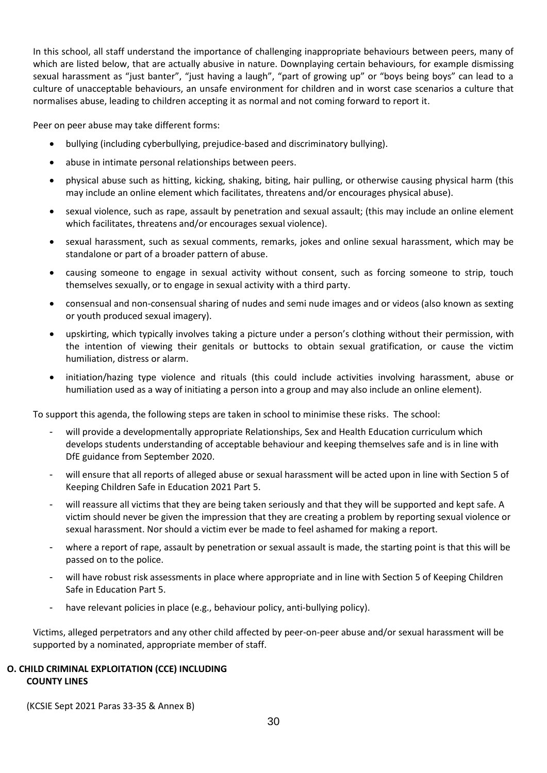In this school, all staff understand the importance of challenging inappropriate behaviours between peers, many of which are listed below, that are actually abusive in nature. Downplaying certain behaviours, for example dismissing sexual harassment as "just banter", "just having a laugh", "part of growing up" or "boys being boys" can lead to a culture of unacceptable behaviours, an unsafe environment for children and in worst case scenarios a culture that normalises abuse, leading to children accepting it as normal and not coming forward to report it.

Peer on peer abuse may take different forms:

- bullying (including cyberbullying, prejudice-based and discriminatory bullying).
- abuse in intimate personal relationships between peers.
- physical abuse such as hitting, kicking, shaking, biting, hair pulling, or otherwise causing physical harm (this may include an online element which facilitates, threatens and/or encourages physical abuse).
- sexual violence, such as rape, assault by penetration and sexual assault; (this may include an online element which facilitates, threatens and/or encourages sexual violence).
- sexual harassment, such as sexual comments, remarks, jokes and online sexual harassment, which may be standalone or part of a broader pattern of abuse.
- causing someone to engage in sexual activity without consent, such as forcing someone to strip, touch themselves sexually, or to engage in sexual activity with a third party.
- consensual and non-consensual sharing of nudes and semi nude images and or videos (also known as sexting or youth produced sexual imagery).
- upskirting, which typically involves taking a picture under a person's clothing without their permission, with the intention of viewing their genitals or buttocks to obtain sexual gratification, or cause the victim humiliation, distress or alarm.
- initiation/hazing type violence and rituals (this could include activities involving harassment, abuse or humiliation used as a way of initiating a person into a group and may also include an online element).

To support this agenda, the following steps are taken in school to minimise these risks. The school:

- will provide a developmentally appropriate Relationships, Sex and Health Education curriculum which develops students understanding of acceptable behaviour and keeping themselves safe and is in line with DfE guidance from September 2020.
- will ensure that all reports of alleged abuse or sexual harassment will be acted upon in line with Section 5 of Keeping Children Safe in Education 2021 Part 5.
- will reassure all victims that they are being taken seriously and that they will be supported and kept safe. A victim should never be given the impression that they are creating a problem by reporting sexual violence or sexual harassment. Nor should a victim ever be made to feel ashamed for making a report.
- where a report of rape, assault by penetration or sexual assault is made, the starting point is that this will be passed on to the police.
- will have robust risk assessments in place where appropriate and in line with Section 5 of Keeping Children Safe in Education Part 5.
- have relevant policies in place (e.g., behaviour policy, anti-bullying policy).

Victims, alleged perpetrators and any other child affected by peer-on-peer abuse and/or sexual harassment will be supported by a nominated, appropriate member of staff.

## **O. CHILD CRIMINAL EXPLOITATION (CCE) INCLUDING COUNTY LINES**

(KCSIE Sept 2021 Paras 33-35 & Annex B)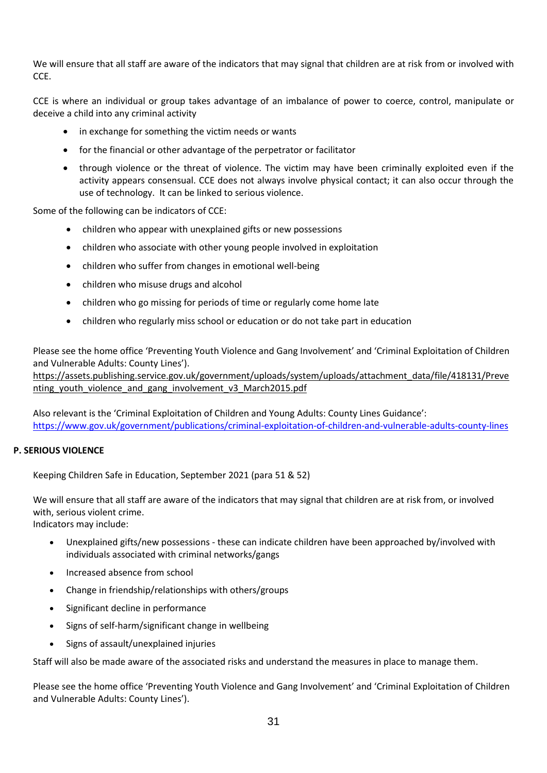We will ensure that all staff are aware of the indicators that may signal that children are at risk from or involved with CCE.

CCE is where an individual or group takes advantage of an imbalance of power to coerce, control, manipulate or deceive a child into any criminal activity

- in exchange for something the victim needs or wants
- for the financial or other advantage of the perpetrator or facilitator
- through violence or the threat of violence. The victim may have been criminally exploited even if the activity appears consensual. CCE does not always involve physical contact; it can also occur through the use of technology. It can be linked to serious violence.

Some of the following can be indicators of CCE:

- children who appear with unexplained gifts or new possessions
- children who associate with other young people involved in exploitation
- children who suffer from changes in emotional well-being
- children who misuse drugs and alcohol
- children who go missing for periods of time or regularly come home late
- children who regularly miss school or education or do not take part in education

Please see the home office 'Preventing Youth Violence and Gang Involvement' and 'Criminal Exploitation of Children and Vulnerable Adults: County Lines').

[https://assets.publishing.service.gov.uk/government/uploads/system/uploads/attachment\\_data/file/418131/Preve](https://assets.publishing.service.gov.uk/government/uploads/system/uploads/attachment_data/file/418131/Preventing_youth_violence_and_gang_involvement_v3_March2015.pdf) nting youth violence and gang involvement v3 March2015.pdf

Also relevant is the 'Criminal Exploitation of Children and Young Adults: County Lines Guidance': <https://www.gov.uk/government/publications/criminal-exploitation-of-children-and-vulnerable-adults-county-lines>

# **P. SERIOUS VIOLENCE**

Keeping Children Safe in Education, September 2021 (para 51 & 52)

We will ensure that all staff are aware of the indicators that may signal that children are at risk from, or involved with, serious violent crime.

Indicators may include:

- Unexplained gifts/new possessions these can indicate children have been approached by/involved with individuals associated with criminal networks/gangs
- Increased absence from school
- Change in friendship/relationships with others/groups
- Significant decline in performance
- Signs of self-harm/significant change in wellbeing
- Signs of assault/unexplained injuries

Staff will also be made aware of the associated risks and understand the measures in place to manage them.

Please see the home office 'Preventing Youth Violence and Gang Involvement' and 'Criminal Exploitation of Children and Vulnerable Adults: County Lines').